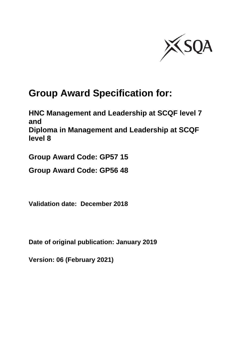

# **Group Award Specification for:**

**HNC Management and Leadership at SCQF level 7 and Diploma in Management and Leadership at SCQF level 8**

**Group Award Code: GP57 15**

**Group Award Code: GP56 48**

**Validation date: December 2018**

**Date of original publication: January 2019**

**Version: 06 (February 2021)**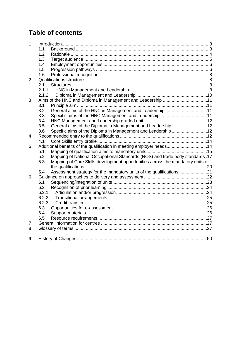# **Table of contents**

| 1              |                                                                                       |  |
|----------------|---------------------------------------------------------------------------------------|--|
|                | 1.1                                                                                   |  |
|                | 1.2                                                                                   |  |
|                | 1.3                                                                                   |  |
|                | 1.4                                                                                   |  |
|                | 1.5                                                                                   |  |
|                | 1.6                                                                                   |  |
| $\overline{2}$ |                                                                                       |  |
|                | 2.1                                                                                   |  |
|                | 2.1.1                                                                                 |  |
|                | 2.1.2                                                                                 |  |
| 3              | Aims of the HNC and Diploma in Management and Leadership 11                           |  |
|                | 3.1                                                                                   |  |
|                | General aims of the HNC in Management and Leadership 11<br>3.2                        |  |
|                | 3.3                                                                                   |  |
|                | 3.4                                                                                   |  |
|                | 3.5<br>General aims of the Diploma in Management and Leadership12                     |  |
|                | 3.6<br>Specific aims of the Diploma in Management and Leadership 12                   |  |
| 4              |                                                                                       |  |
|                | 4.1                                                                                   |  |
| 5              | Additional benefits of the qualification in meeting employer needs14                  |  |
|                | 5.1                                                                                   |  |
|                | Mapping of National Occupational Standards (NOS) and trade body standards .17<br>5.2  |  |
|                | Mapping of Core Skills development opportunities across the mandatory units of<br>5.3 |  |
|                |                                                                                       |  |
|                | 5.4<br>Assessment strategy for the mandatory units of the qualifications 21           |  |
| 6              |                                                                                       |  |
|                | 6.1                                                                                   |  |
|                | 6.2                                                                                   |  |
|                | 6.2.1                                                                                 |  |
|                | 6.2.2                                                                                 |  |
|                | 6.2.3                                                                                 |  |
|                | 6.3                                                                                   |  |
|                | 6.4                                                                                   |  |
|                | 6.5                                                                                   |  |
| 7              |                                                                                       |  |
| 8              |                                                                                       |  |
| 9              |                                                                                       |  |
|                |                                                                                       |  |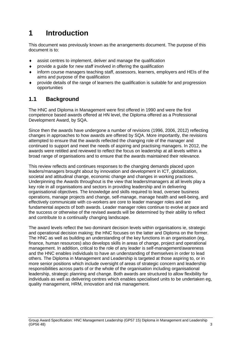# <span id="page-2-0"></span>**1 Introduction**

This document was previously known as the arrangements document. The purpose of this document is to:

- assist centres to implement, deliver and manage the qualification
- provide a guide for new staff involved in offering the qualification
- inform course managers teaching staff, assessors, learners, employers and HEIs of the aims and purpose of the qualification
- provide details of the range of learners the qualification is suitable for and progression opportunities

## <span id="page-2-1"></span>**1.1 Background**

The HNC and Diploma in Management were first offered in 1990 and were the first competence based awards offered at HN level, the Diploma offered as a Professional Development Award, by SQA.

Since then the awards have undergone a number of revisions (1996, 2006, 2012) reflecting changes in approaches to how awards are offered by SQA. More importantly, the revisions attempted to ensure that the awards reflected the changing role of the manager and continued to support and meet the needs of aspiring and practising managers. In 2012, the awards were retitled and reviewed to reflect the focus on leadership at all levels within a broad range of organisations and to ensure that the awards maintained their relevance.

This review reflects and continues responses to the changing demands placed upon leaders/managers brought about by innovation and development in ICT, globalization, societal and attitudinal change, economic change and changes in working practices. Underpinning the Awards throughout is the view that leaders/managers at all levels play a key role in all organisations and sectors in providing leadership and in delivering organisational objectives. The knowledge and skills required to lead, oversee business operations, manage projects and change, self-manage, manage health and well-being, and effectively communicate with co-workers are core to leader manager roles and are fundamental aspects of both awards. Leader manager roles continue to evolve at pace and the success or otherwise of the revised awards will be determined by their ability to reflect and contribute to a continually changing landscape.

The award levels reflect the two dominant decision levels within organisations ie, strategic and operational decision making; the HNC focuses on the latter and Diploma on the former. The HNC as well as building an understanding of the key functions in an organisation (eg, finance, human resources) also develops skills in areas of change, project and operational management. In addition, critical to the role of any leader is self-management/awareness and the HNC enables individuals to have an understanding of themselves in order to lead others. The Diploma in Management and Leadership is targeted at those aspiring to, or in more senior positions which include oversight of areas of strategic concern and leadership responsibilities across parts of or the whole of the organisation including organisational leadership, strategic planning and change. Both awards are structured to allow flexibility for individuals as well as delivering centres which enables specialised units to be undertaken eg, quality management, HRM, innovation and risk management.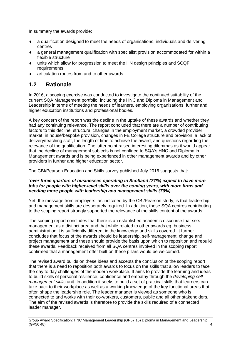In summary the awards provide:

- a qualification designed to meet the needs of organisations, individuals and delivering centres
- a general management qualification with specialist provision accommodated for within a flexible structure
- units which allow for progression to meet the HN design principles and SCQF requirements
- articulation routes from and to other awards

# <span id="page-3-0"></span>**1.2 Rationale**

In 2016, a scoping exercise was conducted to investigate the continued suitability of the current SQA Management portfolio, including the HNC and Diploma in Management and Leadership in terms of meeting the needs of learners, employing organisations, further and higher education institutions and professional bodies.

A key concern of the report was the decline in the uptake of these awards and whether they had any continuing relevance. The report concluded that there are a number of contributing factors to this decline: structural changes in the employment market, a crowded provider market, in house/bespoke provision, changes in FE College structure and provision, a lack of delivery/teaching staff, the length of time to achieve the award, and questions regarding the relevance of the qualification. The latter point raised interesting dilemmas as it would appear that the decline of management subjects is not confined to SQA's HNC and Diploma in Management awards and is being experienced in other management awards and by other providers in further and higher education sector.

The CBI/Pearson Education and Skills survey published July 2016 suggests that:

#### **'***over three quarters of businesses operating in Scotland (77%) expect to have more jobs for people with higher-level skills over the coming years, with more firms and needing more people with leadership and management skills (70%)*

Yet, the message from employers, as indicated by the CBI/Pearson study, is that leadership and management skills are desperately required. In addition, those SQA centres contributing to the scoping report strongly supported the relevance of the skills content of the awards.

The scoping report concludes that there is an established academic discourse that sets management as a distinct area and that while related to other awards eg, business administration it is sufficiently different in the knowledge and skills covered. It further concludes that focus of the awards should be leadership, self-management, change and project management and these should provide the basis upon which to reposition and rebuild these awards. Feedback received from all SQA centres involved in the scoping report confirmed that a management offer built on these pillars would be welcomed.

The revised award builds on these ideas and accepts the conclusion of the scoping report that there is a need to reposition both awards to focus on the skills that allow leaders to face the day to day challenges of the modern workplace. It aims to provide the learning and ideas to build skills of personal resilience, confidence and empathy through the *developing selfmanagement skills* unit. In addition it seeks to build a set of practical skills that learners can take back to their workplace as well as a working knowledge of the key functional areas that often shape the leadership role. The leader manager is viewed as someone who is connected to and works with their co-workers, customers, public and all other stakeholders. The aim of the revised awards is therefore to provide the skills required of a connected leader manager.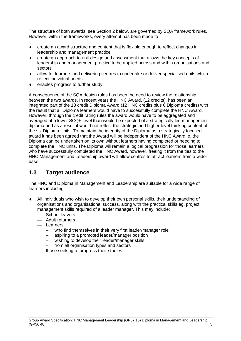The structure of both awards, see Section 2 below, are governed by SQA framework rules. However, within the frameworks, every attempt has been made to

- create an award structure and content that is flexible enough to reflect changes in leadership and management practice
- create an approach to unit design and assessment that allows the key concepts of leadership and management practice to be applied across and within organisations and sectors
- allow for learners and delivering centres to undertake or deliver specialised units which reflect individual needs
- enables progress to further study

A consequence of the SQA design rules has been the need to review the relationship between the two awards. In recent years the HNC Award, (12 credits), has been an integrated part of the 18 credit Diploma Award (12 HNC credits plus 6 Diploma credits) with the result that all Diploma learners would have to successfully complete the HNC Award. However, through the credit rating rules the award would have to be aggregated and averaged at a lower SCQF level than would be expected of a strategically led management diploma and as a result it would not reflect the strategic and higher level thinking content of the six Diploma Units. To maintain the integrity of the Diploma as a strategically focused award it has been agreed that the Award will be independent of the HNC Award ie, the Diploma can be undertaken on its own without learners having completed or needing to complete the HNC units. The Diploma will remain a logical progression for those learners who have successfully completed the HNC Award, however, freeing it from the ties to the HNC Management and Leadership award will allow centres to attract learners from a wider base.

## <span id="page-4-0"></span>**1.3 Target audience**

The HNC and Diploma in Management and Leadership are suitable for a wide range of learners including:

- All individuals who wish to develop their own personal skills, their understanding of organisations and organisational success, along with the practical skills eg, project management skills required of a leader manager. This may include:
	- School leavers
	- Adult returners
	- Learners
		- who find themselves in their very first leader/manager role
		- aspiring to a promoted leader/manager position
		- wishing to develop their leader/manager skills
		- from all organisation types and sectors
	- those seeking to progress their studies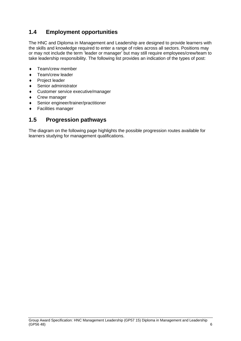# <span id="page-5-0"></span>**1.4 Employment opportunities**

The HNC and Diploma in Management and Leadership are designed to provide learners with the skills and knowledge required to enter a range of roles across all sectors. Positions may or may not include the term 'leader or manager' but may still require employees/crew/team to take leadership responsibility. The following list provides an indication of the types of post:

- Team/crew member
- ◆ Team/crew leader
- ◆ Project leader
- Senior administrator
- Customer service executive/manager
- ◆ Crew manager
- Senior engineer/trainer/practitioner
- Facilities manager

## <span id="page-5-1"></span>**1.5 Progression pathways**

The diagram on the following page highlights the possible progression routes available for learners studying for management qualifications.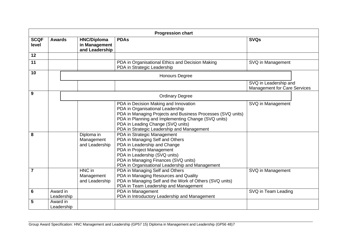|                      |                        |                                                       | <b>Progression chart</b>                                                                                                                                                                                                                                                                                                                                                                                          |                                                              |
|----------------------|------------------------|-------------------------------------------------------|-------------------------------------------------------------------------------------------------------------------------------------------------------------------------------------------------------------------------------------------------------------------------------------------------------------------------------------------------------------------------------------------------------------------|--------------------------------------------------------------|
| <b>SCQF</b><br>level | <b>Awards</b>          | <b>HNC/Diploma</b><br>in Management<br>and Leadership | <b>PDAs</b>                                                                                                                                                                                                                                                                                                                                                                                                       | <b>SVQs</b>                                                  |
| 12                   |                        |                                                       |                                                                                                                                                                                                                                                                                                                                                                                                                   |                                                              |
| 11                   |                        |                                                       | PDA in Organisational Ethics and Decision Making<br>PDA in Strategic Leadership                                                                                                                                                                                                                                                                                                                                   | SVQ in Management                                            |
| 10                   |                        |                                                       | <b>Honours Degree</b>                                                                                                                                                                                                                                                                                                                                                                                             |                                                              |
|                      |                        |                                                       |                                                                                                                                                                                                                                                                                                                                                                                                                   | SVQ in Leadership and<br><b>Management for Care Services</b> |
| 9                    |                        |                                                       | <b>Ordinary Degree</b>                                                                                                                                                                                                                                                                                                                                                                                            |                                                              |
| 8                    |                        | Diploma in<br>Management<br>and Leadership            | PDA in Decision Making and Innovation<br>PDA in Organisational Leadership<br>PDA in Managing Projects and Business Processes (SVQ units)<br>PDA in Planning and Implementing Change (SVQ units)<br>PDA in Leading Change (SVQ units)<br>PDA in Strategic Leadership and Management<br>PDA in Strategic Management<br>PDA in Managing Self and Others<br>PDA in Leadership and Change<br>PDA in Project Management | SVQ in Management                                            |
|                      |                        |                                                       | PDA in Leadership (SVQ units)<br>PDA in Managing Finances (SVQ units)<br>PDA in Organisational Leadership and Management                                                                                                                                                                                                                                                                                          |                                                              |
| $\overline{7}$       |                        | HNC in<br>Management<br>and Leadership                | PDA in Managing Self and Others<br>PDA in Managing Resources and Quality<br>PDA in Managing Self and the Work of Others (SVQ units)<br>PDA in Team Leadership and Management                                                                                                                                                                                                                                      | SVQ in Management                                            |
| $6\phantom{1}6$      | Award in<br>Leadership |                                                       | PDA in Management<br>PDA in Introductory Leadership and Management                                                                                                                                                                                                                                                                                                                                                | SVQ in Team Leading                                          |
| 5                    | Award in<br>Leadership |                                                       |                                                                                                                                                                                                                                                                                                                                                                                                                   |                                                              |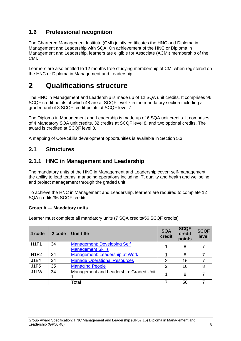# <span id="page-7-0"></span>**1.6 Professional recognition**

The Chartered Management Institute (CMI) jointly certificates the HNC and Diploma in Management and Leadership with SQA. On achievement of the HNC or Diploma in Management and Leadership, learners are eligible for Associate (ACMI) membership of the CMI.

Learners are also entitled to 12 months free studying membership of CMI when registered on the HNC or Diploma in Management and Leadership.

# <span id="page-7-1"></span>**2 Qualifications structure**

The HNC in Management and Leadership is made up of 12 SQA unit credits. It comprises 96 SCQF credit points of which 48 are at SCQF level 7 in the mandatory section including a graded unit of 8 SCQF credit points at SCQF level 7.

The Diploma in Management and Leadership is made up of 6 SQA unit credits. It comprises of 4 Mandatory SQA unit credits, 32 credits at SCQF level 8, and two optional credits. The award is credited at SCQF level 8.

A mapping of Core Skills development opportunities is available in Section 5.3.

## <span id="page-7-2"></span>**2.1 Structures**

## <span id="page-7-3"></span>**2.1.1 HNC in Management and Leadership**

The mandatory units of the HNC in Management and Leadership cover: self-management, the ability to lead teams, managing operations including IT, quality and health and wellbeing, and project management through the graded unit.

To achieve the HNC in Management and Leadership, learners are required to complete 12 SQA credits/96 SCQF credits

### **Group A — Mandatory units**

Learner must complete all mandatory units (7 SQA credits/56 SCQF credits)

| 4 code | 2 code | Unit title                                                     | <b>SQA</b><br>credit | <b>SCQF</b><br>credit<br>points | <b>SCQF</b><br>level |
|--------|--------|----------------------------------------------------------------|----------------------|---------------------------------|----------------------|
| H1F1   | 34     | <b>Management: Developing Self</b><br><b>Management Skills</b> | 1                    | 8                               |                      |
| H1F2   | 34     | Management: Leadership at Work                                 |                      | 8                               |                      |
| J1BY   | 34     | <b>Manage Operational Resources</b>                            | $\overline{2}$       | 16                              |                      |
| J1F5   | 35     | <b>Managing People</b>                                         | 2                    | 16                              | 8                    |
| J1LW   | 34     | Management and Leadership: Graded Unit                         |                      | 8                               |                      |
|        |        | Total                                                          |                      | 56                              |                      |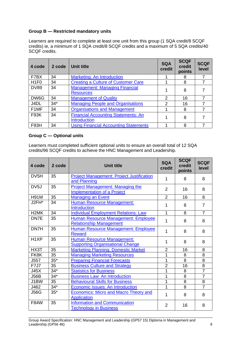### **Group B — Restricted mandatory units**

Learners are required to complete at least one unit from this group (1 SQA credit/8 SCQF credits) ie, a minimum of 1 SQA credit/8 SCQF credits and a maximum of 5 SQA credits/40 SCQF credits.

| 4 code            | 2 code | <b>Unit title</b>                                                 | <b>SQA</b><br>credit | <b>SCQF</b><br>credit<br>points | <b>SCQF</b><br>level |
|-------------------|--------|-------------------------------------------------------------------|----------------------|---------------------------------|----------------------|
| F7BX              | 34     | Marketing: An Introduction                                        |                      | 8                               |                      |
| H <sub>1F0</sub>  | 34     | <b>Creating a Culture of Customer Care</b>                        |                      | 8                               |                      |
| <b>DV89</b>       | 34     | <b>Management: Managing Financial</b><br><b>Resources</b>         |                      | 8                               |                      |
| DW6G              | 34     | <b>Management of Quality</b>                                      | $\mathcal{P}$        | 16                              |                      |
| J4DL              | $34*$  | <b>Managing People and Organisations</b>                          | $\mathcal{P}$        | 16                              |                      |
| F <sub>1</sub> MF | 34     | <b>Organisations and Management</b>                               |                      | 8                               |                      |
| F93K              | 34     | <b>Financial Accounting Statements: An</b><br><b>Introduction</b> |                      | 8                               |                      |
| <b>F93H</b>       | 34     | <b>Using Financial Accounting Statements</b>                      |                      | 8                               |                      |

#### **Group C — Optional units**

Learners must completed sufficient optional units to ensure an overall total of 12 SQA credits/96 SCQF credits to achieve the HNC Management and Leadership.

| 4 code            | 2 code | <b>Unit title</b>                                                             | <b>SQA</b><br>credit | <b>SCQF</b><br>credit<br>points | <b>SCQF</b><br>level |
|-------------------|--------|-------------------------------------------------------------------------------|----------------------|---------------------------------|----------------------|
| DV <sub>5</sub> H | 35     | <b>Project Management: Project Justification</b><br>and Planning              | 1                    | 8                               | 8                    |
| DV <sub>5</sub> J | 35     | <b>Project Management: Managing the</b><br><b>Implementation of a Project</b> | $\overline{2}$       | 16                              | 8                    |
| <b>H91M</b>       | 35     | <b>Managing an Event</b>                                                      | $\overline{2}$       | 16                              | 8                    |
| J2FH*             | 34     | <b>Human Resource Management:</b><br><b>Introduction</b>                      | 1                    | 8                               | $\overline{7}$       |
| H <sub>2</sub> MK | 34     | <b>Individual Employment Relations: Law</b>                                   | 1                    | 8                               | $\overline{7}$       |
| DN7E              | 35     | <b>Human Resource Management: Employee</b><br><b>Relationship Management</b>  | 1                    | 8                               | 8                    |
| DN7H              | 35     | Human Resource Management: Employee<br><b>Reward</b>                          | 1                    | 8                               | 8                    |
| H <sub>1</sub> XP | 35     | <b>Human Resource Management:</b><br><b>Supporting Organisational Change</b>  | 1                    | 8                               | 8                    |
| HX3T              | 35     | <b>Marketing Planning: Domestic Market</b>                                    | $\overline{2}$       | 16                              | 8                    |
| FK8K              | 35     | <b>Managing Marketing Resources</b>                                           | 1                    | 8                               | 8                    |
| J557              | $35*$  | <b>Preparing Financial Forecasts</b>                                          | 1                    | 8                               | $\overline{8}$       |
| <b>F7J7</b>       | 35     | <b>Business Culture and Strategy</b>                                          | $\overline{2}$       | 16                              | $\overline{8}$       |
| J45X              | $34*$  | <b>Statistics for Business</b>                                                | 1                    | 8                               | $\overline{7}$       |
| <b>J56B</b>       | $34*$  | <b>Business Law: An Introduction</b>                                          | 1                    | 8                               | $\overline{7}$       |
| J1BW              | 35     | <b>Behavioural Skills for Business</b>                                        | 1                    | 8                               | 8                    |
| J462              | $34*$  | Economic Issues: An Introduction                                              | 1                    | 8                               | $\overline{7}$       |
| <b>J56G</b>       | $35*$  | <b>Economics: Micro and Macro Theory and</b><br><b>Application</b>            | 1                    | 8                               | 8                    |
| F84W              | 35     | <b>Information and Communication</b><br><b>Technology in Business</b>         | $\overline{2}$       | 16                              | 8                    |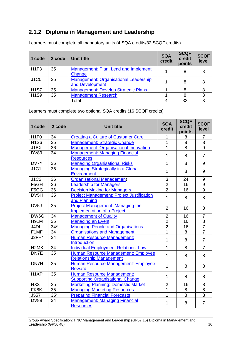# <span id="page-9-0"></span>**2.1.2 Diploma in Management and Leadership**

| 4 code           | 2 code | Unit title                                                      | <b>SQA</b><br>credit | <b>SCQF</b><br>credit<br>points | <b>SCQF</b><br>level |
|------------------|--------|-----------------------------------------------------------------|----------------------|---------------------------------|----------------------|
| H <sub>1F3</sub> | 35     | Management: Plan, Lead and Implement<br>Change                  |                      | 8                               |                      |
| <b>J1C0</b>      | 35     | <b>Management: Organisational Leadership</b><br>and Development |                      | 8                               |                      |
| <b>H1S7</b>      | 35     | <b>Management: Develop Strategic Plans</b>                      |                      | 8                               |                      |
| <b>H1S9</b>      | 35     | <b>Management Research</b>                                      |                      | 8                               | 8                    |
|                  |        | Total                                                           |                      | 32                              |                      |

Learners must complete all mandatory units (4 SQA credits/32 SCQF credits)

Learners must complete two optional SQA credits (16 SCQF credits)

| 4 code                        | 2 code | <b>Unit title</b>                                                             | <b>SQA</b><br>credit | <b>SCQF</b><br>credit<br>points | <b>SCQF</b><br>level |
|-------------------------------|--------|-------------------------------------------------------------------------------|----------------------|---------------------------------|----------------------|
| H <sub>1F0</sub>              | 34     | <b>Creating a Culture of Customer Care</b>                                    | 1                    | 8                               | $\overline{7}$       |
| <b>H1S6</b>                   | 35     | <b>Management: Strategic Change</b>                                           | 1                    | 8                               | 8                    |
| J1BX                          | 36     | <b>Management: Organisational Innovation</b>                                  | 1                    | 8                               | $\overline{9}$       |
| <b>DV89</b>                   | 34     | <b>Management: Managing Financial</b><br><b>Resources</b>                     | 1                    | 8                               | $\overline{7}$       |
| DV7Y                          | 36     | <b>Managing Organisational Risks</b>                                          | 1                    | 8                               | $9\,$                |
| <b>J1C1</b>                   | 36     | <b>Managing Strategically in a Global</b><br><b>Environment</b>               | 1                    | 8                               | 9                    |
| J1C2                          | 36     | <b>Organisational Management</b>                                              | 3                    | 24                              | 9                    |
| F <sub>5</sub> GH             | 36     | <b>Leadership for Managers</b>                                                | $\overline{2}$       | 16                              | 9                    |
| F <sub>5</sub> G <sub>G</sub> | 36     | <b>Decision Making for Managers</b>                                           | $\overline{2}$       | 16                              | 9                    |
| DV5H                          | 35     | <b>Project Management: Project Justification</b><br>and Planning              | 1                    | 8                               | 8                    |
| DV <sub>5</sub> J             | 35     | <b>Project Management: Managing the</b><br><b>Implementation of a Project</b> | 2                    | 16                              | 8                    |
| DW6G                          | 34     | <b>Management of Quality</b>                                                  | $\overline{2}$       | 16                              | $\overline{7}$       |
| <b>H91M</b>                   | 35     | <b>Managing an Event</b>                                                      | $\overline{2}$       | 16                              | 8                    |
| J4DL                          | $34*$  | <b>Managing People and Organisations</b>                                      | $\overline{2}$       | 16                              | $\overline{7}$       |
| F1MF                          | 34     | <b>Organisations and Management</b>                                           | $\overline{1}$       | 8                               | $\overline{7}$       |
| J2FH*                         | 34     | <b>Human Resource Management:</b><br>Introduction                             | 1                    | 8                               | $\overline{7}$       |
| H <sub>2</sub> MK             | 34     | <b>Individual Employment Relations: Law</b>                                   | $\overline{1}$       | 8                               | $\overline{7}$       |
| DN7E                          | 35     | Human Resource Management: Employee<br><b>Relationship Management</b>         | $\mathbf{1}$         | 8                               | 8                    |
| DN7H                          | 35     | <b>Human Resource Management: Employee</b><br><b>Reward</b>                   | 1                    | 8                               | 8                    |
| H <sub>1</sub> XP             | 35     | <b>Human Resource Management:</b><br><b>Supporting Organisational Change</b>  | 1                    | 8                               | 8                    |
| HX3T                          | 35     | <b>Marketing Planning: Domestic Market</b>                                    | $\overline{2}$       | 16                              | 8                    |
| FK8K                          | 35     | <b>Managing Marketing Resources</b>                                           | 1                    | 8                               | 8                    |
| J557                          | $35*$  | <b>Preparing Financial Forecasts</b>                                          | 1                    | 8                               | 8                    |
| <b>DV89</b>                   | 34     | <b>Management: Managing Financial</b><br><b>Resources</b>                     | 1                    | 8                               | $\overline{7}$       |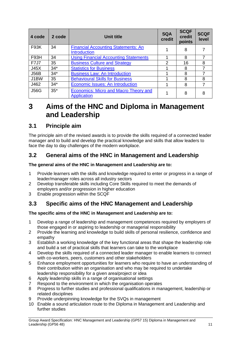| 4 code      | 2 code | <b>Unit title</b>                                                  | <b>SQA</b><br>credit | <b>SCQF</b><br>credit<br>points | <b>SCQF</b><br>level |
|-------------|--------|--------------------------------------------------------------------|----------------------|---------------------------------|----------------------|
| <b>F93K</b> | 34     | <b>Financial Accounting Statements: An</b>                         |                      | 8                               |                      |
|             |        | <b>Introduction</b>                                                |                      |                                 |                      |
| F93H        | 34     | <b>Using Financial Accounting Statements</b>                       |                      | 8                               |                      |
| <b>F7J7</b> | 35     | <b>Business Culture and Strategy</b>                               | 2                    | 16                              | 8                    |
| J45X        | $34*$  | <b>Statistics for Business</b>                                     |                      | 8                               |                      |
| <b>J56B</b> | $34*$  | <b>Business Law: An Introduction</b>                               |                      | 8                               |                      |
| J1BW        | 35     | <b>Behavioural Skills for Business</b>                             |                      | 8                               | 8                    |
| J462        | $34*$  | <b>Economic Issues: An Introduction</b>                            |                      | 8                               |                      |
| <b>J56G</b> | $35*$  | <b>Economics: Micro and Macro Theory and</b><br><b>Application</b> |                      | 8                               | 8                    |

# <span id="page-10-0"></span>**3 Aims of the HNC and Diploma in Management and Leadership**

# <span id="page-10-1"></span>**3.1 Principle aim**

The principle aim of the revised awards is to provide the skills required of a connected leader manager and to build and develop the practical knowledge and skills that allow leaders to face the day to day challenges of the modern workplace.

# <span id="page-10-2"></span>**3.2 General aims of the HNC in Management and Leadership**

## **The general aims of the HNC in Management and Leadership are to:**

- 1 Provide learners with the skills and knowledge required to enter or progress in a range of leader/manager roles across all industry sectors
- 2 Develop transferable skills including Core Skills required to meet the demands of employers and/or progression in higher education
- 3 Enable progression within the SCQF

# <span id="page-10-3"></span>**3.3 Specific aims of the HNC Management and Leadership**

### **The specific aims of the HNC in Management and Leadership are to:**

- 1 Develop a range of leadership and management competences required by employers of those engaged in or aspiring to leadership or managerial responsibility
- 2 Provide the learning and knowledge to build skills of personal resilience, confidence and empathy
- 3 Establish a working knowledge of the key functional areas that shape the leadership role and build a set of practical skills that learners can take to the workplace
- 4 Develop the skills required of a connected leader manager to enable learners to connect with co-workers, peers, customers and other stakeholders
- 5 Enhance employment opportunities for learners who require to have an understanding of their contribution within an organisation and who may be required to undertake leadership responsibility for a given area/project or idea
- 6 Apply leadership skills in a range of organisational settings
- 7 Respond to the environment in which the organisation operates
- 8 Progress to further studies and professional qualifications in management, leadership or related disciplines
- 9 Provide underpinning knowledge for the SVQs in management
- 10 Enable a sound articulation route to the Diploma in Management and Leadership and further studies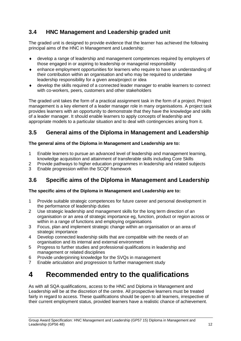# <span id="page-11-0"></span>**3.4 HNC Management and Leadership graded unit**

The graded unit is designed to provide evidence that the learner has achieved the following principal aims of the HNC in Management and Leadership:

- develop a range of leadership and management competences required by employers of those engaged in or aspiring to leadership or managerial responsibility
- enhance employment opportunities for learners who require to have an understanding of their contribution within an organisation and who may be required to undertake leadership responsibility for a given area/project or idea
- develop the skills required of a connected leader manager to enable learners to connect with co-workers, peers, customers and other stakeholders

The graded unit takes the form of a practical assignment task in the form of a project. Project management is a key element of a leader manager role in many organisations. A project task provides learners with an opportunity to demonstrate that they have the knowledge and skills of a leader manager. It should enable learners to apply concepts of leadership and appropriate models to a particular situation and to deal with contingencies arising from it.

# <span id="page-11-1"></span>**3.5 General aims of the Diploma in Management and Leadership**

## **The general aims of the Diploma in Management and Leadership are to:**

- 1 Enable learners to pursue an advanced level of leadership and management learning, knowledge acquisition and attainment of transferable skills including Core Skills
- 2 Provide pathways to higher education programmes in leadership and related subjects
- 3 Enable progression within the SCQF framework

# <span id="page-11-2"></span>**3.6 Specific aims of the Diploma in Management and Leadership**

## **The specific aims of the Diploma in Management and Leadership are to:**

- 1 Provide suitable strategic competences for future career and personal development in the performance of leadership duties
- 2 Use strategic leadership and management skills for the long term direction of an organisation or an area of strategic importance eg, function, product or region across or within in a range of functions and employing organisations
- 3 Focus, plan and implement strategic change within an organisation or an area of strategic importance
- 4 Develop connected leadership skills that are compatible with the needs of an organisation and its internal and external environment
- 5 Progress to further studies and professional qualifications in leadership and management or related disciplines
- 6 Provide underpinning knowledge for the SVQs in management
- 7 Enable articulation and progression to further management study

# <span id="page-11-3"></span>**4 Recommended entry to the qualifications**

As with all SQA qualifications, access to the HNC and Diploma in Management and Leadership will be at the discretion of the centre. All prospective learners must be treated fairly in regard to access. These qualifications should be open to all learners, irrespective of their current employment status, provided learners have a realistic chance of achievement.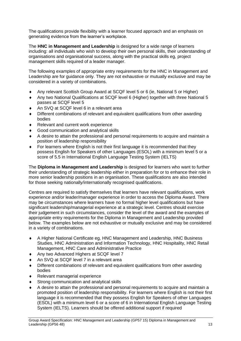The qualifications provide flexibility with a learner focused approach and an emphasis on generating evidence from the learner's workplace.

The **HNC in Management and Leadership** is designed for a wide range of learners including: all individuals who wish to develop their own personal skills, their understanding of organisations and organisational success, along with the practical skills eg, project management skills required of a leader manager.

The following examples of appropriate entry requirements for the HNC in Management and Leadership are for guidance only. They are not exhaustive or mutually exclusive and may be considered in a variety of combinations.

- Any relevant Scottish Group Award at SCQF level 5 or 6 (ie, National 5 or Higher)
- Any two National Qualifications at SCQF level 6 (Higher) together with three National 5 passes at SCQF level 5
- ◆ An SVQ at SCQF level 6 in a relevant area
- Different combinations of relevant and equivalent qualifications from other awarding bodies
- ◆ Relevant and current work experience
- Good communication and analytical skills
- A desire to attain the professional and personal requirements to acquire and maintain a position of leadership responsibility
- For learners where English is not their first language it is recommended that they possess English for Speakers of other Languages (ESOL) with a minimum level 5 or a score of 5.5 in International English Language Testing System (IELTS)

The **Diploma in Management and Leadership** is designed for learners who want to further their understanding of strategic leadership either in preparation for or to enhance their role in more senior leadership positions in an organisation. These qualifications are also intended for those seeking nationally/internationally recognised qualifications.

Centres are required to satisfy themselves that learners have relevant qualifications, work experience and/or leader/manager experience in order to access the Diploma Award. There may be circumstances where learners have no formal higher level qualifications but have significant leadership/managerial experience at a strategic level. Centres should exercise their judgement in such circumstances, consider the level of the award and the examples of appropriate entry requirements for the Diploma in Management and Leadership provided below. The examples below are not exhaustive or mutually exclusive and may be considered in a variety of combinations.

- A Higher National Certificate eg, HNC Management and Leadership, HNC Business Studies, HNC Administration and Information Technology, HNC Hospitality, HNC Retail Management, HNC Care and Administrative Practice
- ◆ Any two Advanced Highers at SCQF level 7
- An SVQ at SCQF level 7 in a relevant area
- Different combinations of relevant and equivalent qualifications from other awarding bodies
- ◆ Relevant managerial experience
- Strong communication and analytical skills
- A desire to attain the professional and personal requirements to acquire and maintain a promoted position of leadership responsibility. For learners where English is not their first language it is recommended that they possess English for Speakers of other Languages (ESOL) with a minimum level 6 or a score of 6 in International English Language Testing System (IELTS). Learners should be offered additional support if required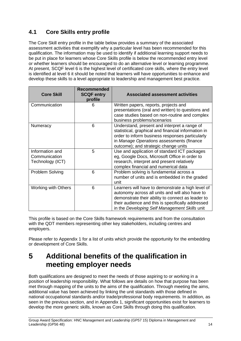# <span id="page-13-0"></span>**4.1 Core Skills entry profile**

The Core Skill entry profile in the table below provides a summary of the associated assessment activities that exemplify why a particular level has been recommended for this qualification. The information may be used to identify if additional learning support needs to be put in place for learners whose Core Skills profile is below the recommended entry level or whether learners should be encouraged to do an alternative level or learning programme. At present, SCQF level 6 is the highest level of certificated core skills, where the entry level is identified at level 6 it should be noted that learners will have opportunities to enhance and develop these skills to a level appropriate to leadership and management best practice.

| <b>Core Skill</b>                                    | <b>Recommended</b><br><b>SCQF entry</b><br>profile | <b>Associated assessment activities</b>                                                                                                                                                                                                                         |
|------------------------------------------------------|----------------------------------------------------|-----------------------------------------------------------------------------------------------------------------------------------------------------------------------------------------------------------------------------------------------------------------|
| Communication                                        | 6                                                  | Written papers, reports, projects and<br>presentations (oral and written) to questions and<br>case studies based on non-routine and complex<br>business problems/scenarios                                                                                      |
| Numeracy                                             | 6                                                  | Understand, present and interpret a range of<br>statistical, graphical and financial information in<br>order to inform business responses particularly<br>in Manage Operations assessments (finance<br>outcome); and strategic change units                     |
| Information and<br>Communication<br>Technology (ICT) | 5                                                  | Use and application of standard ICT packages<br>eg, Google Docs, Microsoft Office in order to<br>research, interpret and present relatively<br>complex financial and numerical data                                                                             |
| Problem Solving                                      | 6                                                  | Problem solving is fundamental across a<br>number of units and is embedded in the graded<br>unit                                                                                                                                                                |
| <b>Working with Others</b>                           | 6                                                  | Learners will have to demonstrate a high level of<br>autonomy across all units and will also have to<br>demonstrate their ability to connect as leader to<br>their audience and this is specifically addressed<br>in the Developing Self Management Skills unit |

This profile is based on the Core Skills framework requirements and from the consultation with the QDT members representing other key stakeholders, including centres and employers.

Please refer to Appendix 1 for a list of units which provide the opportunity for the embedding or development of Core Skills.

# <span id="page-13-1"></span>**5 Additional benefits of the qualification in meeting employer needs**

Both qualifications are designed to meet the needs of those aspiring to or working in a position of leadership responsibility. What follows are details on how that purpose has been met through mapping of the units to the aims of the qualification. Through meeting the aims, additional value has been achieved by linking the unit standards with those defined in national occupational standards and/or trade/professional body requirements. In addition, as seen in the previous section, and in Appendix 1, significant opportunities exist for learners to develop the more generic skills, known as Core Skills through doing this qualification.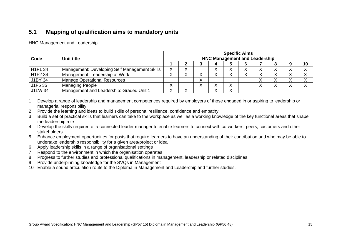# **5.1 Mapping of qualification aims to mandatory units**

HNC Management and Leadership

| Code                | Unit title                                    | <b>Specific Aims</b><br><b>HNC Management and Leadership</b> |  |   |  |  |  |  |  |  |  |  |  |  |  |  |
|---------------------|-----------------------------------------------|--------------------------------------------------------------|--|---|--|--|--|--|--|--|--|--|--|--|--|--|
|                     |                                               |                                                              |  |   |  |  |  |  |  |  |  |  |  |  |  |  |
| H <sub>1F1</sub> 34 | Management: Developing Self Management Skills | v                                                            |  |   |  |  |  |  |  |  |  |  |  |  |  |  |
| H1F2 34             | Management: Leadership at Work                |                                                              |  |   |  |  |  |  |  |  |  |  |  |  |  |  |
| J1BY 34             | <b>Manage Operational Resources</b>           |                                                              |  | ↗ |  |  |  |  |  |  |  |  |  |  |  |  |
| J1F5 35             | <b>Managing People</b>                        |                                                              |  |   |  |  |  |  |  |  |  |  |  |  |  |  |
| <b>J1LW 34</b>      | Management and Leadership: Graded Unit 1      |                                                              |  |   |  |  |  |  |  |  |  |  |  |  |  |  |

1 Develop a range of leadership and management competences required by employers of those engaged in or aspiring to leadership or managerial responsibility

- 2 Provide the learning and ideas to build skills of personal resilience, confidence and empathy
- 3 Build a set of practical skills that learners can take to the workplace as well as a working knowledge of the key functional areas that shape the leadership role
- <span id="page-14-0"></span>4 Develop the skills required of a connected leader manager to enable learners to connect with co-workers, peers, customers and other stakeholders
- 5 Enhance employment opportunities for posts that require learners to have an understanding of their contribution and who may be able to undertake leadership responsibility for a given area/project or idea
- 6 Apply leadership skills in a range of organisational settings
- 7 Respond to the environment in which the organisation operates
- 8 Progress to further studies and professional qualifications in management, leadership or related disciplines
- 9 Provide underpinning knowledge for the SVQs in Management
- 10 Enable a sound articulation route to the Diploma in Management and Leadership and further studies.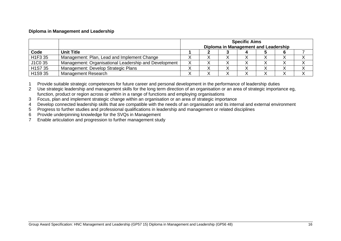#### **Diploma in Management and Leadership**

|                      |                                                       | <b>Specific Aims</b><br>Diploma in Management and Leadership |  |           |  |  |  |  |  |  |  |  |
|----------------------|-------------------------------------------------------|--------------------------------------------------------------|--|-----------|--|--|--|--|--|--|--|--|
| Code                 | <b>Unit Title</b>                                     |                                                              |  |           |  |  |  |  |  |  |  |  |
| H <sub>1F3</sub> 35  | Management: Plan, Lead and Implement Change           | ↗                                                            |  |           |  |  |  |  |  |  |  |  |
| J1C0 35              | Management: Organisational Leadership and Development | ⌒                                                            |  | $\lambda$ |  |  |  |  |  |  |  |  |
| H <sub>1</sub> S7 35 | Management: Develop Strategic Plans                   |                                                              |  |           |  |  |  |  |  |  |  |  |
| H1S9 35              | Management Research                                   |                                                              |  |           |  |  |  |  |  |  |  |  |

1 Provide suitable strategic competences for future career and personal development in the performance of leadership duties

2 Use strategic leadership and management skills for the long term direction of an organisation or an area of strategic importance eg, function, product or region across or within in a range of functions and employing organisations

3 Focus, plan and implement strategic change within an organisation or an area of strategic importance

4 Develop connected leadership skills that are compatible with the needs of an organisation and its internal and external environment

5 Progress to further studies and professional qualifications in leadership and management or related disciplines

6 Provide underpinning knowledge for the SVQs in Management

7 Enable articulation and progression to further management study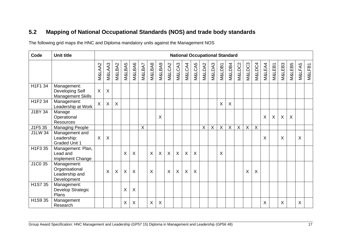# **5.2 Mapping of National Occupational Standards (NOS) and trade body standards**

The following grid maps the HNC and Diploma mandatory units against the Management NOS

<span id="page-16-0"></span>

| Code                 | <b>Unit title</b>                                              |          | <b>National Occupational Standard</b> |         |         |                           |         |         |                           |              |              |         |         |        |                           |         |        |                           |                           |        |        |                           |        |          |         |        |
|----------------------|----------------------------------------------------------------|----------|---------------------------------------|---------|---------|---------------------------|---------|---------|---------------------------|--------------|--------------|---------|---------|--------|---------------------------|---------|--------|---------------------------|---------------------------|--------|--------|---------------------------|--------|----------|---------|--------|
|                      |                                                                | M&LAA2   | M&LAA3                                | M&LBA2  | M&LBA5  | M&LBA6                    | M&LBA7  | M&LBA8  | M&LBA9                    | M&LCA2       | M&LCA3       | M&LCA4  | M&LCA5  | M&LDA2 | M&LDA3                    | M&LDB1  | M&LDB4 | M&LDC2                    | M&LDC3                    | M&LDC4 | M&LEA4 | M&LEB1                    | M&LEB3 | M&LEB5   | M&LFA5  | M&LFB1 |
| H1F1 34              | Management:<br>Developing Self<br>Management Skills            | $\times$ | $\sf X$                               |         |         |                           |         |         |                           |              |              |         |         |        |                           |         |        |                           |                           |        |        |                           |        |          |         |        |
| H1F2 34              | Management:<br>Leadership at Work                              | $\sf X$  | $\mathsf{X}$                          | $\sf X$ |         |                           |         |         |                           |              |              |         |         |        |                           | X       | X      |                           |                           |        |        |                           |        |          |         |        |
| J1BY 34              | Manage<br>Operational<br><b>Resources</b>                      |          |                                       |         |         |                           |         |         | X                         |              |              |         |         |        |                           |         |        |                           |                           |        | X      | $\boldsymbol{\mathsf{X}}$ | X      | $\times$ |         |        |
| J1F5 35              | <b>Managing People</b>                                         |          |                                       |         |         |                           | $\sf X$ |         |                           |              |              |         |         | X      | $\boldsymbol{\mathsf{X}}$ | $\sf X$ | X      | $\boldsymbol{\mathsf{X}}$ | $\boldsymbol{\mathsf{X}}$ | X      |        |                           |        |          |         |        |
| <b>J1LW 34</b>       | Management and<br>Leadership:<br><b>Graded Unit 1</b>          | $\times$ | $\boldsymbol{\mathsf{X}}$             |         |         |                           |         |         |                           |              |              |         |         |        |                           |         |        |                           |                           |        | Χ      |                           | X      |          | $\sf X$ |        |
| H1F3 35              | Management: Plan,<br>Lead and<br>Implement Change              |          |                                       |         | X       | $\boldsymbol{\mathsf{X}}$ |         | $\sf X$ | $\boldsymbol{\mathsf{X}}$ | $\mathsf{X}$ | $\mathsf{X}$ | $\sf X$ | $\sf X$ |        |                           | X       |        |                           |                           |        |        |                           |        |          |         |        |
| J1C0 35              | Management:<br>Organisational<br>Leadership and<br>Development |          | $\sf X$                               | X       | $\sf X$ | $\boldsymbol{\mathsf{X}}$ |         | X       |                           | $\mathsf{X}$ | $\sf X$      | $\sf X$ | X       |        |                           |         |        |                           | X                         | X      |        |                           |        |          |         |        |
| H <sub>1</sub> S7 35 | Management:<br>Develop Strategic<br>Plans                      |          |                                       |         | X       | X                         |         |         |                           |              |              |         |         |        |                           |         |        |                           |                           |        |        |                           |        |          |         |        |
| H1S9 35              | Management<br>Research                                         |          |                                       |         | Χ       | X                         |         | X       | $\boldsymbol{\mathsf{X}}$ |              |              |         |         |        |                           |         |        |                           |                           |        | X      |                           | X      |          | X       |        |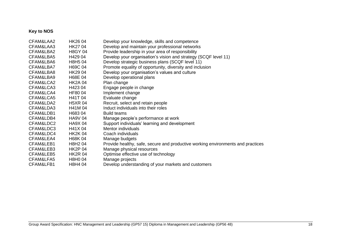## **Key to NOS**

| CFAM&LAA2 | HK26 04        | Develop your knowledge, skills and competence                                   |
|-----------|----------------|---------------------------------------------------------------------------------|
| CFAM&LAA3 | HK2704         | Develop and maintain your professional networks                                 |
| CFAM&LBA2 | <b>H8GY 04</b> | Provide leadership in your area of responsibility                               |
| CFAM&LBA5 | H429 04        | Develop your organisation's vision and strategy (SCQF level 11)                 |
| CFAM&LBA6 | H8H5 04        | Develop strategic business plans (SCQF level 11)                                |
| CFAM&LBA7 | H69C 04        | Promote equality of opportunity, diversity and inclusion                        |
| CFAM&LBA8 | HK29 04        | Develop your organisation's values and culture                                  |
| CFAM&LBA9 | H68E 04        | Develop operational plans                                                       |
| CFAM&LCA2 | <b>HK2A 04</b> | Plan change                                                                     |
| CFAM&LCA3 | H42304         | Engage people in change                                                         |
| CFAM&LCA4 | HF80 04        | Implement change                                                                |
| CFAM&LCA5 | H41T 04        | Evaluate change                                                                 |
| CFAM&LDA2 | <b>H5XR 04</b> | Recruit, select and retain people                                               |
| CFAM&LDA3 | H41M 04        | Induct individuals into their roles                                             |
| CFAM&LDB1 | H68304         | <b>Build teams</b>                                                              |
| CFAM&LDB4 | <b>HA9V 04</b> | Manage people's performance at work                                             |
| CFAM&LDC2 | HA9X 04        | Support individuals' learning and development                                   |
| CFAM&LDC3 | H41X 04        | Mentor individuals                                                              |
| CFAM&LDC4 | <b>HK2K04</b>  | Coach individuals                                                               |
| CFAM&LEA4 | H68K 04        | Manage budgets                                                                  |
| CFAM&LEB1 | H8H2 04        | Provide healthy, safe, secure and productive working environments and practices |
| CFAM&LEB3 | <b>HK2P 04</b> | Manage physical resources                                                       |
| CFAM&LEB5 | <b>HK2R 04</b> | Optimise effective use of technology                                            |
| CFAM&LFA5 | H8H0 04        | Manage projects                                                                 |
| CFAM&LFB1 | H8H4 04        | Develop understanding of your markets and customers                             |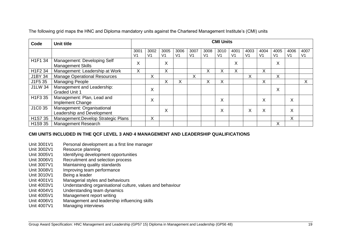The following grid maps the HNC and Diploma mandatory units against the Chartered Management Institute's (CMI) units

| Code    | <b>Unit title</b>                                        | <b>CMI Units</b> |                        |                        |            |                        |                        |                        |                        |                        |            |                        |                        |            |
|---------|----------------------------------------------------------|------------------|------------------------|------------------------|------------|------------------------|------------------------|------------------------|------------------------|------------------------|------------|------------------------|------------------------|------------|
|         |                                                          | 3001<br>V1       | 3002<br>V <sub>1</sub> | 3005<br>V <sub>1</sub> | 3006<br>V1 | 3007<br>V <sub>1</sub> | 3008<br>V <sub>1</sub> | 3010<br>V <sub>1</sub> | 4001<br>V <sub>1</sub> | 4003<br>V <sub>1</sub> | 4004<br>V1 | 4005<br>V <sub>1</sub> | 4006<br>V <sub>1</sub> | 4007<br>V1 |
| H1F1 34 | Management: Developing Self<br><b>Management Skills</b>  | X                |                        | Χ                      |            |                        |                        |                        | X                      |                        |            | X                      |                        |            |
| H1F2 34 | Management: Leadership at Work                           | X                |                        | X.                     |            |                        | X                      | X                      | X                      |                        | X          |                        |                        |            |
| J1BY 34 | <b>Manage Operational Resources</b>                      |                  | X                      |                        |            | X                      |                        |                        |                        | Χ                      |            | X                      |                        |            |
| J1F5 35 | <b>Managing People</b>                                   |                  |                        | ⋏                      | Χ          |                        | ∧                      | X                      |                        |                        | X          |                        |                        | X          |
| J1LW 34 | Management and Leadership:<br><b>Graded Unit 1</b>       |                  | X                      |                        |            |                        |                        |                        |                        |                        |            | X                      |                        |            |
| H1F3 35 | Management: Plan, Lead and<br>Implement Change           |                  | X                      |                        |            |                        |                        | X                      |                        |                        | X          |                        | X                      |            |
| J1C0 35 | Management: Organisational<br>Leadership and Development |                  |                        | Χ                      |            |                        |                        | X                      |                        | Χ                      | X          |                        | X                      |            |
| H1S7 35 | Management: Develop Strategic Plans                      |                  | X                      |                        |            |                        |                        |                        |                        |                        |            |                        | Χ                      |            |
| H1S9 35 | <b>Management Research</b>                               |                  |                        |                        |            |                        |                        |                        |                        |                        |            | Χ                      |                        |            |

### **CMI UNITS INCLUDED IN THE QCF LEVEL 3 AND 4 MANAGEMENT AND LEADERSHIP QUALIFICATIONS**

- Unit 3001V1 Personal development as a first line manager<br>Unit 3002V1 Resource planning
- Resource planning
- Unit 3005V1 Identifying development opportunities
- Unit 3006V1 Recruitment and selection process
- Unit 3007V1 Maintaining quality standards
- Unit 3008V1 Improving team performance<br>Unit 3010V1 Being a leader
- Unit 3010V1 Being a leader<br>Unit 4001V1 Managerial styl
- Managerial styles and behaviours
- Unit 4003V1 Understanding organisational culture, values and behaviour
- Unit 4004V1 Understanding team dynamics
- Unit 4005V1 Management report writing
- Unit 4006V1 Management and leadership influencing skills
- Unit 4007V1 Managing interviews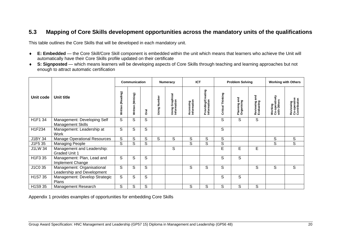## **5.3 Mapping of Core Skills development opportunities across the mandatory units of the qualifications**

This table outlines the Core Skills that will be developed in each mandatory unit.

- **E: Embedded** the Core Skill/Core Skill component is embedded within the unit which means that learners who achieve the Unit will automatically have their Core Skills profile updated on their certificate
- **S: Signposted** which means learners will be developing aspects of Core Skills through teaching and learning approaches but not enough to attract automatic certification

<span id="page-19-0"></span>

|                                    |                                                          |                      | Communication     |      |                 | <b>Numeracy</b>                        | <b>ICT</b>               |                                   |                   | <b>Problem Solving</b>         |                             |                                          | <b>Working with Others</b>                |
|------------------------------------|----------------------------------------------------------|----------------------|-------------------|------|-----------------|----------------------------------------|--------------------------|-----------------------------------|-------------------|--------------------------------|-----------------------------|------------------------------------------|-------------------------------------------|
| Unit code                          | Unit title                                               | (Reading)<br>Written | Written (Writing) | Dral | Number<br>Using | raphical<br>Using Graph<br>Information | Accessing<br>Information | Providing/Creating<br>Information | Critical Thinking | ā<br>Planning an<br>Organising | Reviewing and<br>Evaluating | Working<br>Co-operatively<br>with Others | Reviewing<br>Co-operative<br>Contribution |
| H1F1 34                            | Management: Developing Self<br><b>Management Skills</b>  | S                    | S                 | S    |                 |                                        |                          |                                   | S                 | S                              | S                           |                                          |                                           |
| H1F234                             | Management: Leadership at<br>Work                        | S                    | S                 | S    |                 |                                        |                          |                                   | S                 |                                |                             |                                          |                                           |
| J1BY 34                            | <b>Manage Operational Resources</b>                      | S                    | $\mathsf S$       | S    | S               | S                                      | S                        | $\mathsf S$                       | S                 |                                |                             | S                                        | S                                         |
| J1F5 35                            | <b>Managing People</b>                                   | S                    | S                 | S    |                 |                                        | S                        | S                                 | S                 |                                |                             | S                                        | S                                         |
| J1LW 34                            | Management and Leadership:<br><b>Graded Unit 1</b>       |                      |                   |      |                 | S                                      |                          |                                   | E                 | E                              | E                           |                                          |                                           |
| H1F3 35                            | Management: Plan, Lead and<br>Implement Change           | S                    | S                 | S    |                 |                                        |                          |                                   | S                 | S                              |                             |                                          |                                           |
| J1C0 35                            | Management: Organisational<br>Leadership and Development | S                    | S                 | S    |                 |                                        | S                        | S                                 | S                 |                                | S                           | S                                        | S                                         |
| H1S7 35                            | Management: Develop Strategic<br>Plans                   | S                    | S                 | S    |                 |                                        |                          |                                   | S                 | S                              |                             |                                          |                                           |
| H <sub>1</sub> S <sub>9</sub> $35$ | Management Research                                      | S                    | S                 | S    |                 |                                        | S                        | S                                 | S                 | S                              | S                           |                                          |                                           |

Appendix 1 provides examples of opportunities for embedding Core Skills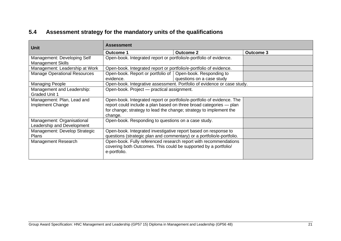# **5.4 Assessment strategy for the mandatory units of the qualifications**

<span id="page-20-0"></span>

| Unit                                                     | <b>Assessment</b> |                                                     |                                                                                                                                                                                                                    |                  |  |  |
|----------------------------------------------------------|-------------------|-----------------------------------------------------|--------------------------------------------------------------------------------------------------------------------------------------------------------------------------------------------------------------------|------------------|--|--|
|                                                          | <b>Outcome 1</b>  |                                                     | <b>Outcome 2</b>                                                                                                                                                                                                   | <b>Outcome 3</b> |  |  |
| Management: Developing Self<br><b>Management Skills</b>  |                   |                                                     | Open-book. Integrated report or portfolio/e-portfolio of evidence.                                                                                                                                                 |                  |  |  |
| Management: Leadership at Work                           |                   |                                                     | Open-book. Integrated report or portfolio/e-portfolio of evidence.                                                                                                                                                 |                  |  |  |
| <b>Manage Operational Resources</b>                      | evidence.         | Open-book. Report or portfolio of                   | Open-book. Responding to<br>questions on a case study                                                                                                                                                              |                  |  |  |
| Managing People                                          |                   |                                                     | Open-book. Integrative assessment. Portfolio of evidence or case study.                                                                                                                                            |                  |  |  |
| Management and Leadership:<br><b>Graded Unit 1</b>       |                   | Open-book. Project - practical assignment.          |                                                                                                                                                                                                                    |                  |  |  |
| Management: Plan, Lead and<br>Implement Change           | change.           |                                                     | Open-book. Integrated report or portfolio/e-portfolio of evidence. The<br>report could include a plan based on three broad categories - plan<br>for change; strategy to lead the change; strategy to implement the |                  |  |  |
| Management: Organisational<br>Leadership and Development |                   | Open-book. Responding to questions on a case study. |                                                                                                                                                                                                                    |                  |  |  |
| Management: Develop Strategic<br><b>Plans</b>            |                   |                                                     | Open-book. Integrated investigative report based on response to<br>questions (strategic plan and commentary) or a portfolio/e-portfolio.                                                                           |                  |  |  |
| Management Research                                      | e-portfolio.      |                                                     | Open-book. Fully referenced research report with recommendations<br>covering both Outcomes. This could be supported by a portfolio/                                                                                |                  |  |  |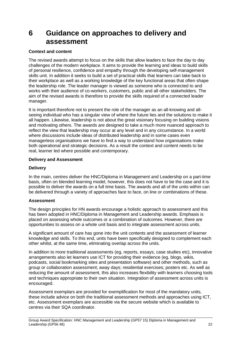# <span id="page-21-0"></span>**6 Guidance on approaches to delivery and assessment**

#### **Context and content**

The revised awards attempt to focus on the skills that allow leaders to face the day to day challenges of the modern workplace. It aims to provide the learning and ideas to build skills of personal resilience, confidence and empathy through the developing self-management skills unit. In addition it seeks to build a set of practical skills that learners can take back to their workplace as well as a working knowledge of the key functional areas that often shape the leadership role. The leader manager is viewed as someone who is connected to and works with their audience of co-workers, customers, public and all other stakeholders. The aim of the revised awards is therefore to provide the skills required of a connected leader manager.

It is important therefore not to present the role of the manager as an all-knowing and allseeing individual who has a singular view of where the future lies and the solutions to make it all happen. Likewise, leadership is not about the great visionary focusing on building visions and motivating others. The awards are designed to take a much more nuanced approach to reflect the view that leadership may occur at any level and in any circumstance. In a world where discussions include ideas of distributed leadership and in some cases even managerless organisations we have to find a way to understand how organisations make both operational and strategic decisions. As a result the context and content needs to be real, learner led where possible and contemporary.

#### **Delivery and Assessment**

#### **Delivery**

In the main, centres deliver the HNC/Diploma in Management and Leadership on a part-time basis, often on blended learning model, however, this does not have to be the case and it is possible to deliver the awards on a full time basis. The awards and all of the units within can be delivered through a variety of approaches face to face, on line or combinations of these.

#### **Assessment**

The design principles for HN awards encourage a holistic approach to assessment and this has been adopted in HNC/Diploma in Management and Leadership awards. Emphasis is placed on assessing whole outcomes or a combination of outcomes. However, there are opportunities to assess on a whole unit basis and to integrate assessment across units.

A significant amount of care has gone into the unit contents and the assessment of learner knowledge and skills. To this end, units have been specifically designed to complement each other whilst, at the same time, eliminating overlap across the units.

In addition to more traditional assessments (eg, reports, essays, case studies etc), innovative arrangements also let learners use ICT for providing their evidence (eg, blogs, wikis, podcasts, social bookmarking sites and presentation software) and other methods, such as group or collaboration assessment; away days; residential exercises; posters etc. As well as reducing the amount of assessment, this also increases flexibility with learners choosing tools and techniques appropriate to their own situation. Integration of assessment across units is encouraged.

Assessment exemplars are provided for exemplification for most of the mandatory units, these include advice on both the traditional assessment methods and approaches using ICT, etc. Assessment exemplars are accessible via the secure website which is available to centres via their SQA coordinator.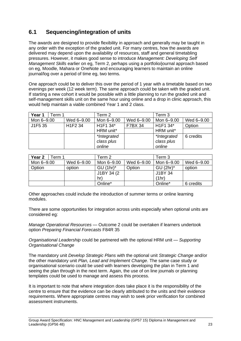# <span id="page-22-0"></span>**6.1 Sequencing/integration of units**

The awards are designed to provide flexibility in approach and generally may be taught in any order with the exception of the graded unit. For many centres, how the awards are delivered may depend upon the availability of resources, staff and general timetabling pressures. However, it makes good sense to introduce *Management: Developing Self Management Skills* earlier on eg, Term 2, perhaps using a portfolio/journal approach based on eg, Moodle, Mahara or OneNote and encouraging learners to maintain an online journal/log over a period of time eg, two terms.

One approach could be to deliver this over the period of 1 year with a timetable based on two evenings per week (12 week term). The same approach could be taken with the graded unit. If starting a new cohort it would be possible with a little planning to run the graded unit and self-management skills unit on the same hour using online and a drop in clinic approach, this would help maintain a viable combined Year 1 and 2 class.

| Year 1     | Term 1 |                                  | Term 2                            |                | Term 3                            |            |
|------------|--------|----------------------------------|-----------------------------------|----------------|-----------------------------------|------------|
| Mon 6-9.00 |        | Wed 6-9.00                       | Mon 6-9.00                        | Wed 6-9.00     | Mon 6-9.00                        | Wed 6-9.00 |
| J1F5 35    |        | H <sub>1</sub> F <sub>2</sub> 34 | H <sub>1</sub> F <sub>1</sub> 34* | <b>F7BX 34</b> | H <sub>1</sub> F <sub>1</sub> 34* | Option     |
|            |        |                                  | HRM unit*                         |                | HRM unit*                         |            |
|            |        |                                  | *Integrated                       |                | *Integrated                       | 6 credits  |
|            |        |                                  | class plus                        |                | class plus                        |            |
|            |        |                                  | online                            |                | online                            |            |

| Year 2<br>Term 1 |            | Term 2      |            | Term 3       |            |
|------------------|------------|-------------|------------|--------------|------------|
| Mon 6-9.00       | Wed 6-9.00 | Mon 6-9.00  | Wed 6–9.00 | Mon 6-9.00   | Wed 6–9.00 |
| Option           | option     | $GU (1hr)*$ | Option     | $GU (2hr)^*$ | option     |
|                  |            | J1BY 34 (2) |            | J1BY 34      |            |
|                  |            | hr)         |            | (1hr)        |            |
|                  |            | Online*     |            | Online*      | 6 credits  |

Other approaches could include the introduction of summer terms or online learning modules.

There are some opportunities for integration across units especially when optional units are considered eg:

*Manage Operational Resources* — Outcome 2 could be overtaken if learners undertook option *Preparing Financial Forecasts* F84R 35

*Organisational Leadership* could be partnered with the optional HRM unit — *Supporting Organisational Change*

The mandatory unit *Develop Strategic Plans* with the optional unit *Strategic Change* and/or the other mandatory unit *Plan, Lead and Implement Change*. The same case study or organisational scenario could be used with learners developing the plan in Term 1 and seeing the plan through in the next term. Again, the use of on line journals or planning templates could be used to manage and assess this process.

It is important to note that where integration does take place it is the responsibility of the centre to ensure that the evidence can be clearly attributed to the units and their evidence requirements. Where appropriate centres may wish to seek prior verification for combined assessment instruments.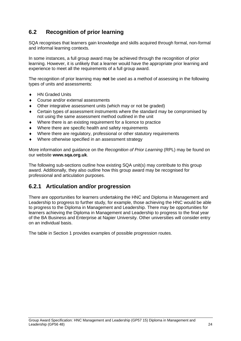# <span id="page-23-0"></span>**6.2 Recognition of prior learning**

SQA recognises that learners gain knowledge and skills acquired through formal, non-formal and informal learning contexts.

In some instances, a full group award may be achieved through the recognition of prior learning. However, it is unlikely that a learner would have the appropriate prior learning and experience to meet all the requirements of a full group award.

The recognition of prior learning may **not** be used as a method of assessing in the following types of units and assessments:

- ◆ HN Graded Units
- Course and/or external assessments
- Other integrative assessment units (which may or not be graded)
- Certain types of assessment instruments where the standard may be compromised by not using the same assessment method outlined in the unit
- Where there is an existing requirement for a licence to practice
- Where there are specific health and safety requirements
- Where there are regulatory, professional or other statutory requirements
- Where otherwise specified in an assessment strategy

More information and guidance on the *Recognition of Prior Learning* (RPL) may be found on our website **[www.sqa.org.uk](http://www.sqa.org.uk/)**.

The following sub-sections outline how existing SQA unit(s) may contribute to this group award. Additionally, they also outline how this group award may be recognised for professional and articulation purposes.

## <span id="page-23-1"></span>**6.2.1 Articulation and/or progression**

There are opportunities for learners undertaking the HNC and Diploma in Management and Leadership to progress to further study, for example, those achieving the HNC would be able to progress to the Diploma in Management and Leadership. There may be opportunities for learners achieving the Diploma in Management and Leadership to progress to the final year of the BA Business and Enterprise at Napier University. Other universities will consider entry on an individual basis.

The table in Section 1 provides examples of possible progression routes.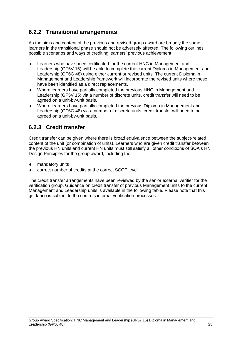# <span id="page-24-0"></span>**6.2.2 Transitional arrangements**

As the aims and content of the previous and revised group award are broadly the same, learners in the transitional phase should not be adversely affected. The following outlines possible scenarios and ways of crediting learners' previous achievement:

- Learners who have been certificated for the current HNC in Management and Leadership (GF5V 15) will be able to complete the current Diploma in Management and Leadership (GF6G 48) using either current or revised units. The current Diploma in Management and Leadership framework will incorporate the revised units where these have been identified as a direct replacements.
- Where learners have partially completed the previous HNC in Management and Leadership (GF5V 15) via a number of discrete units, credit transfer will need to be agreed on a unit-by-unit basis.
- Where learners have partially completed the previous Diploma in Management and Leadership (GF6G 48) via a number of discrete units, credit transfer will need to be agreed on a unit-by-unit basis.

# <span id="page-24-1"></span>**6.2.3 Credit transfer**

Credit transfer can be given where there is broad equivalence between the subject-related content of the unit (or combination of units). Learners who are given credit transfer between the previous HN units and current HN units must still satisfy all other conditions of SQA's HN Design Principles for the group award, including the:

- mandatory units
- correct number of credits at the correct SCQF level

The credit transfer arrangements have been reviewed by the senior external verifier for the verification group. Guidance on credit transfer of previous Management units to the current Management and Leadership units is available in the following table. Please note that this guidance is subject to the centre's internal verification processes.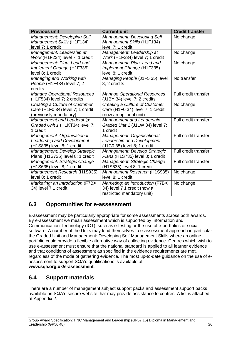| <b>Previous unit</b>                                                                         | <b>Current unit</b>                                                                           | <b>Credit transfer</b> |
|----------------------------------------------------------------------------------------------|-----------------------------------------------------------------------------------------------|------------------------|
| Management: Developing Self<br>Management Skills (H1F134)<br>level 7; 1 credit               | Management: Developing Self<br>Management Skills (H1F134)<br>level 7; 1 credit                | No change              |
| Management: Leadership at<br>Work (H1F234) level 7; 1 credit                                 | Management: Leadership at<br>Work (H1F234) level 7; 1 credit                                  | No change              |
| Management: Plan, Lead and<br>Implement Change (H1F335)<br>level 8; 1 credit                 | Management: Plan, Lead and<br>Implement Change (H1F335)<br>level 8; 1 credit                  | No change              |
| Managing and Working with<br>People (H1F434) level 7; 2<br>credits                           | Managing People (J1F5 35) level<br>8, 2 credits                                               | No transfer            |
| <b>Manage Operational Resources</b><br>(H1F534) level 7; 2 credits                           | <b>Manage Operational Resources</b><br>(J1BY 34) level 7; 2 credits                           | Full credit transfer   |
| Creating a Culture of Customer<br>Care (H1F0 34) level 7; 1 credit<br>(previously mandatory) | Creating a Culture of Customer<br>Care (H1F0 34) level 7; 1 credit<br>(now an optional unit)  | No change              |
| Management and Leadership:<br>Graded Unit 1 (H1KT34) level 7;<br>1 credit                    | Management and Leadership:<br>Graded Unit 1 (J1LW 34) level 7;<br>1 credit                    | Full credit transfer   |
| Management: Organisational<br>Leadership and Development<br>(H1S835) level 8; 1 credit       | Management: Organisational<br>Leadership and Development<br>(J1C0 35) level 8; 1 credit       | Full credit transfer   |
| Management: Develop Strategic<br>Plans (H1S735) level 8; 1 credit                            | Management: Develop Strategic<br>Plans (H1S735) level 8; 1 credit                             | Full credit transfer   |
| Management: Strategic Change<br>(H1S635) level 8; 1 credit                                   | Management: Strategic Change<br>(H1S635) level 8; 1 credit                                    | Full credit transfer   |
| Management Research (H1S935)<br>level 8; 1 credit                                            | Management Research (H1S935)<br>level 8; 1 credit                                             | No change              |
| Marketing: an Introduction (F7BX<br>34) level 7 1 credit                                     | Marketing: an Introduction (F7BX<br>34) level 7 1 credit (now a<br>restricted mandatory unit) | No change              |

# <span id="page-25-0"></span>**6.3 Opportunities for e-assessment**

E-assessment may be particularly appropriate for some assessments across both awards. By e-assessment we mean assessment which is supported by Information and Communication Technology (ICT), such as e-testing or the use of e-portfolios or social software. A number of the Units may lend themselves to e-assessment approach in particular the Graded Unit and Management: Developing Self Management Skills where an online portfolio could provide a flexible alternative way of collecting evidence. Centres which wish to use e-assessment must ensure that the national standard is applied to all learner evidence and that conditions of assessment as specified in the evidence requirements are met, regardless of the mode of gathering evidence. The most up-to-date guidance on the use of eassessment to support SQA's qualifications is available at **[www.sqa.org.uk/e-assessment](http://www.sqa.org.uk/e-assessment)**.

## <span id="page-25-1"></span>**6.4 Support materials**

There are a number of management subject support packs and assessment support packs available on SQA's secure website that may provide assistance to centres. A list is attached at Appendix 2.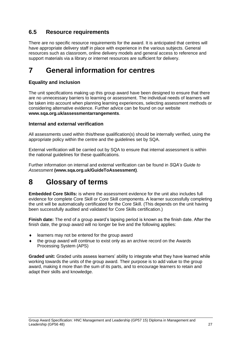# <span id="page-26-0"></span>**6.5 Resource requirements**

There are no specific resource requirements for the award. It is anticipated that centres will have appropriate delivery staff in place with experience in the various subjects. General resources such as classroom, online delivery models and general access to reference and support materials via a library or internet resources are sufficient for delivery.

# <span id="page-26-1"></span>**7 General information for centres**

## **Equality and inclusion**

The unit specifications making up this group award have been designed to ensure that there are no unnecessary barriers to learning or assessment. The individual needs of learners will be taken into account when planning learning experiences, selecting assessment methods or considering alternative evidence. Further advice can be found on our website **[www.sqa.org.uk/assessmentarrangements](http://www.sqa.org.uk/sqa/14977.html)**.

## **Internal and external verification**

All assessments used within this/these qualification(s) should be internally verified, using the appropriate policy within the centre and the guidelines set by SQA.

External verification will be carried out by SQA to ensure that internal assessment is within the national guidelines for these qualifications.

Further information on internal and external verification can be found in *SQA's Guide to Assessment* **[\(www.sqa.org.uk/GuideToAssessment\)](http://www.sqa.org.uk/sqa/files_ccc/GuideToAssessment.pdf)**.

# <span id="page-26-2"></span>**8 Glossary of terms**

**Embedded Core Skills:** is where the assessment evidence for the unit also includes full evidence for complete Core Skill or Core Skill components. A learner successfully completing the unit will be automatically certificated for the Core Skill. (This depends on the unit having been successfully audited and validated for Core Skills certification.)

**Finish date:** The end of a group award's lapsing period is known as the finish date. After the finish date, the group award will no longer be live and the following applies:

- ◆ learners may not be entered for the group award
- the group award will continue to exist only as an archive record on the Awards Processing System (APS)

**Graded unit:** Graded units assess learners' ability to integrate what they have learned while working towards the units of the group award. Their purpose is to add value to the group award, making it more than the sum of its parts, and to encourage learners to retain and adapt their skills and knowledge.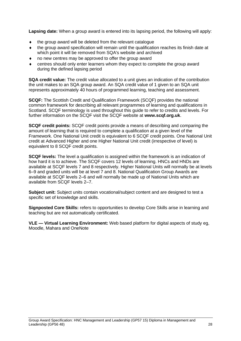**Lapsing date:** When a group award is entered into its lapsing period, the following will apply:

- the group award will be deleted from the relevant catalogue
- $\bullet$  the group award specification will remain until the qualification reaches its finish date at which point it will be removed from SQA's website and archived
- no new centres may be approved to offer the group award
- centres should only enter learners whom they expect to complete the group award during the defined lapsing period

**SQA credit value:** The credit value allocated to a unit gives an indication of the contribution the unit makes to an SQA group award. An SQA credit value of 1 given to an SQA unit represents approximately 40 hours of programmed learning, teaching and assessment.

**SCQF:** The Scottish Credit and Qualification Framework (SCQF) provides the national common framework for describing all relevant programmes of learning and qualifications in Scotland. SCQF terminology is used throughout this guide to refer to credits and levels. For further information on the SCQF visit the SCQF website at **[www.scqf.org.uk](http://www.scqf.org.uk/)**.

**SCQF credit points:** SCQF credit points provide a means of describing and comparing the amount of learning that is required to complete a qualification at a given level of the Framework. One National Unit credit is equivalent to 6 SCQF credit points. One National Unit credit at Advanced Higher and one Higher National Unit credit (irrespective of level) is equivalent to 8 SCQF credit points.

**SCQF levels:** The level a qualification is assigned within the framework is an indication of how hard it is to achieve. The SCQF covers 12 levels of learning. HNCs and HNDs are available at SCQF levels 7 and 8 respectively. Higher National Units will normally be at levels 6–9 and graded units will be at level 7 and 8. National Qualification Group Awards are available at SCQF levels 2–6 and will normally be made up of National Units which are available from SCQF levels 2–7.

**Subject unit:** Subject units contain vocational/subject content and are designed to test a specific set of knowledge and skills.

**Signposted Core Skills:** refers to opportunities to develop Core Skills arise in learning and teaching but are not automatically certificated.

**VLE — Virtual Learning Environment:** Web based platform for digital aspects of study eg, Moodle, Mahara and OneNote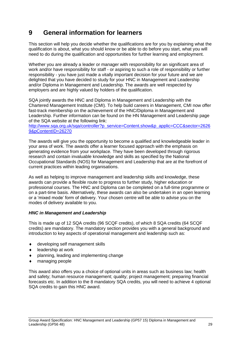# **9 General information for learners**

This section will help you decide whether the qualifications are for you by explaining what the qualification is about, what you should know or be able to do before you start, what you will need to do during the qualification and opportunities for further learning and employment.

Whether you are already a leader or manager with responsibility for an significant area of work and/or have responsibility for staff - or aspiring to such a role of responsibility or further responsibility - you have just made a vitally important decision for your future and we are delighted that you have decided to study for your HNC in Management and Leadership and/or Diploma in Management and Leadership. The awards are well respected by employers and are highly valued by holders of the qualification.

SQA jointly awards the HNC and Diploma in Management and Leadership with the Chartered Management Institute (CMI). To help build careers in Management, CMI now offer fast-track membership on the achievement of the HNC/Diploma in Management and Leadership. Further information can be found on the HN Management and Leadership page of the SQA website at the following link:

[http://www.sqa.org.uk/sqa/controller?p\\_service=Content.show&p\\_applic=CCC&sector=2626](http://www.sqa.org.uk/sqa/controller?p_service=Content.show&p_applic=CCC§or=26269&pContentID=26270) [9&pContentID=26270](http://www.sqa.org.uk/sqa/controller?p_service=Content.show&p_applic=CCC§or=26269&pContentID=26270)

The awards will give you the opportunity to become a qualified and knowledgeable leader in your area of work. The awards offer a learner focused approach with the emphasis on generating evidence from your workplace. They have been developed through rigorous research and contain invaluable knowledge and skills as specified by the National Occupational Standards (NOS) for Management and Leadership that are at the forefront of current practices within leading organisations.

As well as helping to improve management and leadership skills and knowledge, these awards can provide a flexible route to progress to further study, higher education or professional courses. The HNC and Diploma can be completed on a full-time programme or on a part-time basis. Alternatively, these awards can also be undertaken in an open learning or a 'mixed mode' form of delivery. Your chosen centre will be able to advise you on the modes of delivery available to you.

### *HNC in Management and Leadership*

This is made up of 12 SQA credits (96 SCQF credits), of which 8 SQA credits (64 SCQF credits) are mandatory. The mandatory section provides you with a general background and introduction to key aspects of operational management and leadership such as:

- developing self management skills
- leadership at work
- planning, leading and implementing change
- managing people

This award also offers you a choice of optional units in areas such as business law; health and safety; human resource management; quality; project management; preparing financial forecasts etc. In addition to the 8 mandatory SQA credits, you will need to achieve 4 optional SQA credits to gain this HNC award.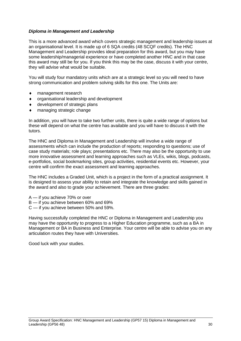#### *Diploma in Management and Leadership*

This is a more advanced award which covers strategic management and leadership issues at an organisational level. It is made up of 6 SQA credits (48 SCQF credits). The HNC Management and Leadership provides ideal preparation for this award, but you may have some leadership/managerial experience or have completed another HNC and in that case this award may still be for you. If you think this may be the case, discuss it with your centre, they will advise what would be suitable.

You will study four mandatory units which are at a strategic level so you will need to have strong communication and problem solving skills for this one. The Units are:

- management research
- organisational leadership and development
- development of strategic plans
- managing strategic change

In addition, you will have to take two further units, there is quite a wide range of options but these will depend on what the centre has available and you will have to discuss it with the tutors.

The HNC and Diploma in Management and Leadership will involve a wide range of assessments which can include the production of reports; responding to questions; use of case study materials; role plays; presentations etc. There may also be the opportunity to use more innovative assessment and learning approaches such as VLEs, wikis, blogs, podcasts, e-portfolios, social bookmarking sites, group activities, residential events etc. However, your centre will confirm the exact assessment and learning approaches.

The HNC includes a Graded Unit, which is a project in the form of a practical assignment. It is designed to assess your ability to retain and integrate the knowledge and skills gained in the award and also to grade your achievement. There are three grades:

- A if you achieve 70% or over
- B if you achieve between 60% and 69%
- C if you achieve between 50% and 59%.

Having successfully completed the HNC or Diploma in Management and Leadership you may have the opportunity to progress to a Higher Education programme, such as a BA in Management or BA in Business and Enterprise. Your centre will be able to advise you on any articulation routes they have with Universities.

Good luck with your studies.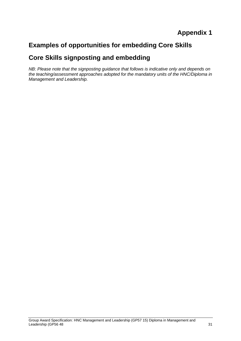# **Appendix 1**

# **Examples of opportunities for embedding Core Skills**

# **Core Skills signposting and embedding**

*NB: Please note that the signposting guidance that follows is indicative only and depends on the teaching/assessment approaches adopted for the mandatory units of the HNC/Diploma in Management and Leadership.*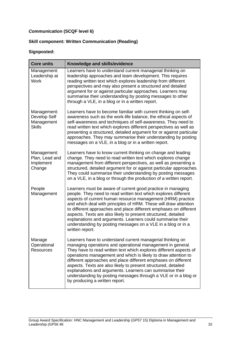## *Communication* **(SCQF level 6)**

## **Skill component: Written Communication (Reading)**

| <b>Core units</b>                                          | Knowledge and skills/evidence                                                                                                                                                                                                                                                                                                                                                                                                                                                                                                                                         |
|------------------------------------------------------------|-----------------------------------------------------------------------------------------------------------------------------------------------------------------------------------------------------------------------------------------------------------------------------------------------------------------------------------------------------------------------------------------------------------------------------------------------------------------------------------------------------------------------------------------------------------------------|
| Management:<br>Leadership at<br><b>Work</b>                | Learners have to understand current managerial thinking on<br>leadership approaches and team development. This requires<br>reading written text which explores leadership from different<br>perspectives and may also present a structured and detailed<br>argument for or against particular approaches. Learners may<br>summarise their understanding by posting messages to other<br>through a VLE, in a blog or in a written report.                                                                                                                              |
| Management:<br>Develop Self<br>Management<br><b>Skills</b> | Learners have to become familiar with current thinking on self-<br>awareness such as the work-life balance, the ethical aspects of<br>self-awareness and techniques of self-awareness. They need to<br>read written text which explores different perspectives as well as<br>presenting a structured, detailed argument for or against particular<br>approaches. They may summarise their understanding by posting<br>messages on a VLE, in a blog or in a written report.                                                                                            |
| Management:<br>Plan, Lead and<br>Implement<br>Change       | Learners have to know current thinking on change and leading<br>change. They need to read written text which explores change<br>management from different perspectives, as well as presenting a<br>structured, detailed argument for or against particular approaches.<br>They could summarise their understanding by posting messages<br>on a VLE, in a blog or through the production of a written report.                                                                                                                                                          |
| People<br>Management                                       | Learners must be aware of current good practice in managing<br>people. They need to read written text which explores different<br>aspects of current human resource management (HRM) practice<br>and which deal with principles of HRM. These will draw attention<br>to different approaches and place different emphases on different<br>aspects. Texts are also likely to present structured, detailed<br>explanations and arguments. Learners could summarise their<br>understanding by posting messages on a VLE in a blog or in a<br>written report.             |
| Manage<br>Operational<br><b>Resources</b>                  | Learners have to understand current managerial thinking on<br>managing operations and operational management in general.<br>They have to read written text which explores different aspects of<br>operations management and which is likely to draw attention to<br>different approaches and place different emphases on different<br>aspects. Texts are also likely to present structured, detailed<br>explanations and arguments. Learners can summarise their<br>understanding by posting messages through a VLE or in a blog or<br>by producing a written report. |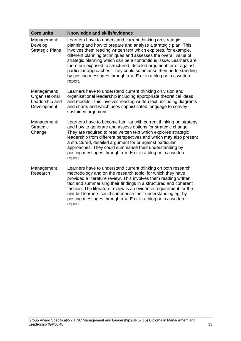| <b>Core units</b>                                              | Knowledge and skills/evidence                                                                                                                                                                                                                                                                                                                                                                                                                                                                                                                               |
|----------------------------------------------------------------|-------------------------------------------------------------------------------------------------------------------------------------------------------------------------------------------------------------------------------------------------------------------------------------------------------------------------------------------------------------------------------------------------------------------------------------------------------------------------------------------------------------------------------------------------------------|
| Management:<br>Develop<br><b>Strategic Plans</b>               | Learners have to understand current thinking on strategic<br>planning and how to prepare and analyse a strategic plan. This<br>involves them reading written text which explores, for example,<br>different planning techniques and assesses the overall value of<br>strategic planning which can be a contentious issue. Learners are<br>therefore exposed to structured, detailed argument for or against<br>particular approaches. They could summarise their understanding<br>by posting messages through a VLE or in a blog or in a written<br>report. |
| Management:<br>Organisational<br>Leadership and<br>Development | Learners have to understand current thinking on vision and<br>organisational leadership including appropriate theoretical ideas<br>and models. This involves reading written text, including diagrams<br>and charts and which uses sophisticated language to convey<br>sustained argument.                                                                                                                                                                                                                                                                  |
| Management:<br>Strategic<br>Change                             | Learners have to become familiar with current thinking on strategy<br>and how to generate and assess options for strategic change.<br>They are required to read written text which explores strategic<br>leadership from different perspectives and which may also present<br>a structured, detailed argument for or against particular<br>approaches. They could summarise their understanding by<br>posting messages through a VLE or in a blog or in a written<br>report.                                                                                |
| Management<br>Research                                         | Learners have to understand current thinking on both research<br>methodology and on the research topic, for which they have<br>provided a literature review. This involves them reading written<br>text and summarising their findings in a structured and coherent<br>fashion. The literature review is an evidence requirement for the<br>unit but learners could summarise their understanding eg, by<br>posting messages through a VLE or in a blog or in a written<br>report.                                                                          |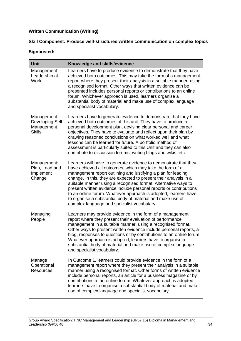## **Written Communication (Writing)**

### **Skill Component: Produce well-structured written communication on complex topics**

| <b>Unit</b>                                                          | Knowledge and skills/evidence                                                                                                                                                                                                                                                                                                                                                                                                                                                                                                                                                              |
|----------------------------------------------------------------------|--------------------------------------------------------------------------------------------------------------------------------------------------------------------------------------------------------------------------------------------------------------------------------------------------------------------------------------------------------------------------------------------------------------------------------------------------------------------------------------------------------------------------------------------------------------------------------------------|
| Management:<br>Leadership at<br><b>Work</b>                          | Learners have to produce evidence to demonstrate that they have<br>achieved both outcomes. This may take the form of a management<br>report where they present their analysis in a suitable manner, using<br>a recognised format. Other ways that written evidence can be<br>presented includes personal reports or contributions to an online<br>forum. Whichever approach is used, learners organise a<br>substantial body of material and make use of complex language<br>and specialist vocabulary.                                                                                    |
| Management:<br><b>Developing Self</b><br>Management<br><b>Skills</b> | Learners have to generate evidence to demonstrate that they have<br>achieved both outcomes of this unit. They have to produce a<br>personal development plan, devising clear personal and career<br>objectives. They have to evaluate and reflect upon their plan by<br>drawing reasoned conclusions on what worked well and what<br>lessons can be learned for future. A portfolio method of<br>assessment is particularly suited to this Unit and they can also<br>contribute to discussion forums, writing blogs and wikis, etc.                                                        |
| Management:<br>Plan, Lead and<br>Implement<br>Change                 | Learners will have to generate evidence to demonstrate that they<br>have achieved all outcomes, which may take the form of a<br>management report outlining and justifying a plan for leading<br>change. In this, they are expected to present their analysis in a<br>suitable manner using a recognised format. Alternative ways to<br>present written evidence include personal reports or contributions<br>to an online forum. Whatever approach is adopted, learners have<br>to organise a substantial body of material and make use of<br>complex language and specialist vocabulary. |
| Managing<br>People                                                   | Learners may provide evidence in the form of a management<br>report where they present their evaluation of performance<br>management in a suitable manner, using a recognised format.<br>Other ways to present written evidence include personal reports, a<br>blog, responses to questions or by contributions to an online forum.<br>Whatever approach is adopted, learners have to organise a<br>substantial body of material and make use of complex language<br>and specialist vocabulary.                                                                                            |
| Manage<br>Operational<br><b>Resources</b>                            | In Outcome 1, learners could provide evidence in the form of a<br>management report where they present their analysis in a suitable<br>manner using a recognised format. Other forms of written evidence<br>include personal reports, an article for a business magazine or by<br>contributions to an online forum. Whatever approach is adopted,<br>learners have to organise a substantial body of material and make<br>use of complex language and specialist vocabulary.                                                                                                               |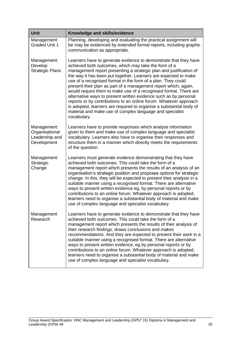| <b>Unit</b>                                                    | Knowledge and skills/evidence                                                                                                                                                                                                                                                                                                                                                                                                                                                                                                                                                                                                                                                                                                                                       |
|----------------------------------------------------------------|---------------------------------------------------------------------------------------------------------------------------------------------------------------------------------------------------------------------------------------------------------------------------------------------------------------------------------------------------------------------------------------------------------------------------------------------------------------------------------------------------------------------------------------------------------------------------------------------------------------------------------------------------------------------------------------------------------------------------------------------------------------------|
| Management:<br><b>Graded Unit 1</b>                            | Planning, developing and evaluating the practical assignment will<br>be may be evidenced by extended formal reports, including graphic<br>communication as appropriate.                                                                                                                                                                                                                                                                                                                                                                                                                                                                                                                                                                                             |
| Management:<br>Develop<br><b>Strategic Plans</b>               | Learners have to generate evidence to demonstrate that they have<br>achieved both outcomes, which may take the form of a<br>management report presenting a strategic plan and justification of<br>the way it has been put together. Learners are expected to make<br>use of a recognised format in the form of a plan. They could<br>present their plan as part of a management report which, again,<br>would require them to make use of a recognised format. There are<br>alternative ways to present written evidence such as by personal<br>reports or by contributions to an online forum. Whatever approach<br>is adopted, learners are required to organise a substantial body of<br>material and make use of complex language and specialist<br>vocabulary. |
| Management:<br>Organisational<br>Leadership and<br>Development | Learners have to provide responses which analyse information<br>given to them and make use of complex language and specialist<br>vocabulary. Learners also have to organise their responses and<br>structure them in a manner which directly meets the requirements<br>of the question.                                                                                                                                                                                                                                                                                                                                                                                                                                                                             |
| Management:<br>Strategic<br>Change                             | Learners must generate evidence demonstrating that they have<br>achieved both outcomes. This could take the form of a<br>management report which presents the results of an analysis of an<br>organisation's strategic position and proposes options for strategic<br>change. In this, they will be expected to present their analysis in a<br>suitable manner using a recognised format. There are alternative<br>ways to present written evidence eg, by personal reports or by<br>contributions to an online forum. Whatever approach is adopted,<br>learners need to organise a substantial body of material and make<br>use of complex language and specialist vocabulary.                                                                                     |
| Management<br>Research                                         | Learners have to generate evidence to demonstrate that they have<br>achieved both outcomes. This could take the form of a<br>management report which presents the results of their analysis of<br>their research findings, draws conclusions and makes<br>recommendations. And they are expected to present their work in a<br>suitable manner using a recognised format. There are alternative<br>ways to present written evidence, eg by personal reports or by<br>contributions to an online forum. Whatever approach is adopted,<br>learners need to organise a substantial body of material and make<br>use of complex language and specialist vocabulary.                                                                                                     |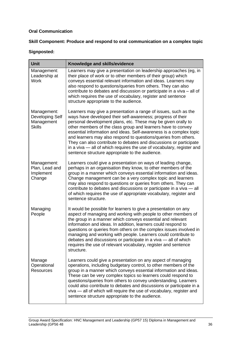### **Oral Communication**

## **Skill Component: Produce and respond to oral communication on a complex topic**

| <b>Unit</b>                                                   | Knowledge and skills/evidence                                                                                                                                                                                                                                                                                                                                                                                                                                                                                                                                                                              |
|---------------------------------------------------------------|------------------------------------------------------------------------------------------------------------------------------------------------------------------------------------------------------------------------------------------------------------------------------------------------------------------------------------------------------------------------------------------------------------------------------------------------------------------------------------------------------------------------------------------------------------------------------------------------------------|
| Management:<br>Leadership at<br><b>Work</b>                   | Learners may give a presentation on leadership approaches (eg, in<br>their place of work or to other members of their group) which<br>conveys essential relevant information and ideas. Learners may<br>also respond to questions/queries from others. They can also<br>contribute to debates and discussion or participate in a viva – all of<br>which requires the use of vocabulary, register and sentence<br>structure appropriate to the audience.                                                                                                                                                    |
| Management:<br>Developing Self<br>Management<br><b>Skills</b> | Learners may give a presentation a range of issues, such as the<br>ways have developed their self-awareness; progress of their<br>personal development plans, etc. These may be given orally to<br>other members of the class group and learners have to convey<br>essential information and ideas. Self-awareness is a complex topic<br>and learners may also respond to questions/queries from others.<br>They can also contribute to debates and discussions or participate<br>in a viva — all of which requires the use of vocabulary, register and<br>sentence structure appropriate to the audience. |
| Management:<br>Plan, Lead and<br>Implement<br>Change          | Learners could give a presentation on ways of leading change,<br>perhaps in an organisation they know, to other members of the<br>group in a manner which conveys essential information and ideas.<br>Change management can be a very complex topic and learners<br>may also respond to questions or queries from others. They can<br>contribute to debates and discussions or participate in a viva - all<br>of which requires the use of appropriate vocabulary, register and<br>sentence structure.                                                                                                     |
| Managing<br>People                                            | It would be possible for learners to give a presentation on any<br>aspect of managing and working with people to other members of<br>the group in a manner which conveys essential and relevant<br>information and ideas. In addition, learners could respond to<br>questions or queries from others on the complex issues involved in<br>managing and working with people. Learners could contribute to<br>debates and discussions or participate in a viva - all of which<br>requires the use of relevant vocabulary, register and sentence<br>structure.                                                |
| Manage<br>Operational<br><b>Resources</b>                     | Learners could give a presentation on any aspect of managing<br>operations, including budgetary control, to other members of the<br>group in a manner which conveys essential information and ideas.<br>These can be very complex topics so learners could respond to<br>questions/queries from others to convey understanding. Learners<br>could also contribute to debates and discussions or participate in a<br>viva - all of which will require the use of vocabulary, register and<br>sentence structure appropriate to the audience.                                                                |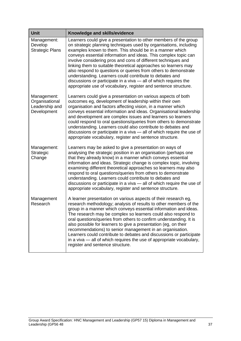| <b>Unit</b>                                                    | Knowledge and skills/evidence                                                                                                                                                                                                                                                                                                                                                                                                                                                                                                                                                                                                                                                 |
|----------------------------------------------------------------|-------------------------------------------------------------------------------------------------------------------------------------------------------------------------------------------------------------------------------------------------------------------------------------------------------------------------------------------------------------------------------------------------------------------------------------------------------------------------------------------------------------------------------------------------------------------------------------------------------------------------------------------------------------------------------|
| Management:<br>Develop<br><b>Strategic Plans</b>               | Learners could give a presentation to other members of the group<br>on strategic planning techniques used by organisations, including<br>examples known to them. This should be in a manner which<br>conveys essential information and ideas. This complex topic can<br>involve considering pros and cons of different techniques and<br>linking them to suitable theoretical approaches so learners may<br>also respond to questions or queries from others to demonstrate<br>understanding. Learners could contribute to debates and<br>discussions or participate in a viva - all of which requires the<br>appropriate use of vocabulary, register and sentence structure. |
| Management:<br>Organisational<br>Leadership and<br>Development | Learners could give a presentation on various aspects of both<br>outcomes eg, development of leadership within their own<br>organisation and factors affecting vision, in a manner which<br>conveys essential information and ideas. Organisational leadership<br>and development are complex issues and learners so learners<br>could respond to oral questions/queries from others to demonstrate<br>understanding. Learners could also contribute to debates and<br>discussions or participate in a viva - all of which require the use of<br>appropriate vocabulary, register and sentence structure.                                                                     |
| Management:<br>Strategic<br>Change                             | Learners may be asked to give a presentation on ways of<br>analysing the strategic position in an organisation (perhaps one<br>that they already know) in a manner which conveys essential<br>information and ideas. Strategic change is complex topic, involving<br>examining different theoretical approaches so learners may also<br>respond to oral questions/queries from others to demonstrate<br>understanding. Learners could contribute to debates and<br>discussions or participate in a viva - all of which require the use of<br>appropriate vocabulary, register and sentence structure.                                                                         |
| Management<br>Research                                         | A learner presentation on various aspects of their research eg,<br>research methodology; analysis of results to other members of the<br>group in a manner which conveys essential information and ideas.<br>The research may be complex so learners could also respond to<br>oral questions/queries from others to confirm understanding. It is<br>also possible for learners to give a presentation (eg, on their<br>recommendations) to senior management in an organisation.<br>Learners could contribute to debates and discussions or participate<br>in a viva — all of which requires the use of appropriate vocabulary,<br>register and sentence structure.            |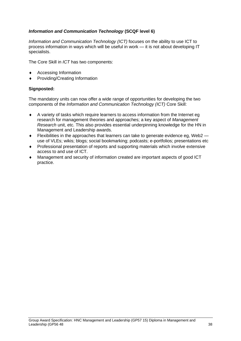### *Information and Communication Technology* **(SCQF level 6)**

*Information and Communication Technology (ICT)* focuses on the ability to use ICT to process information in ways which will be useful in work — it is not about developing IT specialists.

The Core Skill in *ICT* has two components:

- Accessing Information
- Providing/Creating Information

#### **Signposted:**

The mandatory units can now offer a wide range of opportunities for developing the two components of the *Information and Communication Technology (ICT)* Core Skill:

- A variety of tasks which require learners to access information from the Internet eg research for management theories and approaches; a key aspect of *Management Research* unit, etc. This also provides essential underpinning knowledge for the HN in Management and Leadership awards.
- $\bullet$  Flexibilities in the approaches that learners can take to generate evidence eg, Web2 use of VLEs; wikis; blogs; social bookmarking; podcasts; e-portfolios; presentations etc
- Professional presentation of reports and supporting materials which involve extensive access to and use of ICT.
- Management and security of information created are important aspects of good ICT practice.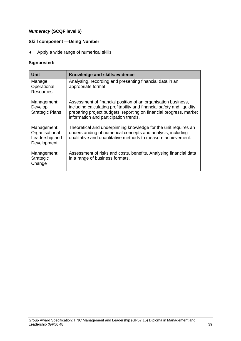## *Numeracy* **(SCQF level 6)**

### **Skill component —Using Number**

Apply a wide range of numerical skills

| <b>Unit</b>                                                    | Knowledge and skills/evidence                                                                                                                                                                                                                           |
|----------------------------------------------------------------|---------------------------------------------------------------------------------------------------------------------------------------------------------------------------------------------------------------------------------------------------------|
| Manage<br>Operational<br><b>Resources</b>                      | Analysing, recording and presenting financial data in an<br>appropriate format.                                                                                                                                                                         |
| Management:<br>Develop<br><b>Strategic Plans</b>               | Assessment of financial position of an organisation business,<br>including calculating profitability and financial safety and liquidity,<br>preparing project budgets, reporting on financial progress, market<br>information and participation trends. |
| Management:<br>Organisational<br>Leadership and<br>Development | Theoretical and underpinning knowledge for the unit requires an<br>understanding of numerical concepts and analysis, including<br>qualitative and quantitative methods to measure achievement.                                                          |
| Management:<br><b>Strategic</b><br>Change                      | Assessment of risks and costs, benefits. Analysing financial data<br>in a range of business formats.                                                                                                                                                    |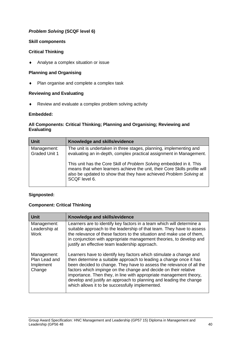## *Problem Solving* **(SCQF level 6)**

#### **Skill components**

#### **Critical Thinking**

Analyse a complex situation or issue

#### **Planning and Organising**

• Plan organise and complete a complex task

#### **Reviewing and Evaluating**

Review and evaluate a complex problem solving activity

#### **Embedded:**

#### **All Components: Critical Thinking; Planning and Organising; Reviewing and Evaluating**

| Unit                                | Knowledge and skills/evidence                                                                                                                                                                                                            |
|-------------------------------------|------------------------------------------------------------------------------------------------------------------------------------------------------------------------------------------------------------------------------------------|
| Management:<br><b>Graded Unit 1</b> | The unit is undertaken in three stages, planning, implementing and<br>evaluating an in-depth, complex practical assignment in Management.                                                                                                |
|                                     | This unit has the Core Skill of Problem Solving embedded in it. This<br>means that when learners achieve the unit, their Core Skills profile will<br>also be updated to show that they have achieved Problem Solving at<br>SCQF level 6. |

#### **Signposted:**

### **Component: Critical Thinking**

| <b>Unit</b>                                         | Knowledge and skills/evidence                                                                                                                                                                                                                                                                                                                                                                                                                                                       |
|-----------------------------------------------------|-------------------------------------------------------------------------------------------------------------------------------------------------------------------------------------------------------------------------------------------------------------------------------------------------------------------------------------------------------------------------------------------------------------------------------------------------------------------------------------|
| Management:<br>Leadership at<br><b>Work</b>         | Learners are to identify key factors in a team which will determine a<br>suitable approach to the leadership of that team. They have to assess<br>the relevance of these factors to the situation and make use of them,<br>in conjunction with appropriate management theories, to develop and<br>justify an effective team leadership approach.                                                                                                                                    |
| Management:<br>Plan Lead and<br>Implement<br>Change | Learners have to identify key factors which stimulate a change and<br>then determine a suitable approach to leading a change once it has<br>been decided to change. They have to assess the relevance of all the<br>factors which impinge on the change and decide on their relative<br>importance. Then they, in line with appropriate management theory,<br>develop and justify an approach to planning and leading the change<br>which allows it to be successfully implemented. |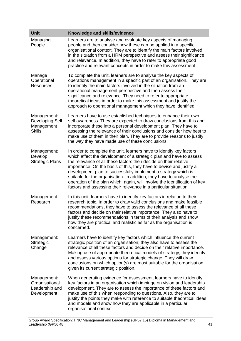| <b>Unit</b>                                                          | Knowledge and skills/evidence                                                                                                                                                                                                                                                                                                                                                                                                                                                                                                                                                      |
|----------------------------------------------------------------------|------------------------------------------------------------------------------------------------------------------------------------------------------------------------------------------------------------------------------------------------------------------------------------------------------------------------------------------------------------------------------------------------------------------------------------------------------------------------------------------------------------------------------------------------------------------------------------|
| Managing<br>People                                                   | Learners are to analyse and evaluate key aspects of managing<br>people and then consider how these can be applied in a specific<br>organisational context. They are to identify the main factors involved<br>in the situation from a HRM perspective and assess their significance<br>and relevance. In addition, they have to refer to appropriate good<br>practice and relevant concepts in order to make this assessment                                                                                                                                                        |
| Manage<br>Operational<br><b>Resources</b>                            | To complete the unit, learners are to analyse the key aspects of<br>operations management in a specific part of an organisation. They are<br>to identify the main factors involved in the situation from an<br>operational management perspective and then assess their<br>significance and relevance. They need to refer to appropriate<br>theoretical ideas in order to make this assessment and justify the<br>approach to operational management which they have identified.                                                                                                   |
| Management:<br><b>Developing Self</b><br>Management<br><b>Skills</b> | Learners have to use established techniques to enhance their own<br>self awareness. They are expected to draw conclusions from this and<br>incorporate these into a personal development plan. They have to<br>assessing the relevance of their conclusions and consider how best to<br>make use of them in their plan. They are to provide reasons to justify<br>the way they have made use of these conclusions.                                                                                                                                                                 |
| Management:<br>Develop<br><b>Strategic Plans</b>                     | In order to complete the unit, learners have to identify key factors<br>which affect the development of a strategic plan and have to assess<br>the relevance of all these factors then decide on their relative<br>importance. On the basis of this, they have to devise and justify a<br>development plan to successfully implement a strategy which is<br>suitable for the organisation. In addition, they have to analyse the<br>operation of the plan which, again, will involve the identification of key<br>factors and assessing their relevance in a particular situation. |
| Management<br>Research                                               | In this unit, learners have to identify key factors in relation to their<br>research topic. In order to draw valid conclusions and make feasible<br>recommendations, they have to assess the relevance of all these<br>factors and decide on their relative importance. They also have to<br>justify these recommendations in terms of their analysis and show<br>how they are practical and realistic as far as the organisation is<br>concerned.                                                                                                                                 |
| Management:<br>Strategic<br>Change                                   | Learners have to identify key factors which influence the current<br>strategic position of an organisation; they also have to assess the<br>relevance of all these factors and decide on their relative importance.<br>Making use of appropriate theoretical models of strategy, they identify<br>and assess various options for strategic change. They will draw<br>conclusions on which option(s) are most suitable for the organisation<br>given its current strategic position.                                                                                                |
| Management:<br>Organisational<br>Leadership and<br>Development       | When generating evidence for assessment, learners have to identify<br>key factors in an organisation which impinge on vision and leadership<br>development. They are to assess the importance of these factors and<br>make use of this when responding to questions. Also, they are to<br>justify the points they make with reference to suitable theoretical ideas<br>and models and show how they are applicable in a particular<br>organisational context.                                                                                                                      |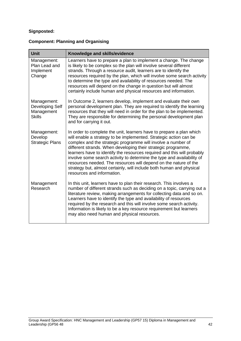## **Signposted:**

## **Component: Planning and Organising**

| <b>Unit</b>                                                   | Knowledge and skills/evidence                                                                                                                                                                                                                                                                                                                                                                                                                                                                                                                                                                             |
|---------------------------------------------------------------|-----------------------------------------------------------------------------------------------------------------------------------------------------------------------------------------------------------------------------------------------------------------------------------------------------------------------------------------------------------------------------------------------------------------------------------------------------------------------------------------------------------------------------------------------------------------------------------------------------------|
| Management:<br>Plan Lead and<br>Implement<br>Change           | Learners have to prepare a plan to implement a change. The change<br>is likely to be complex so the plan will involve several different<br>strands. Through a resource audit, learners are to identify the<br>resources required by the plan, which will involve some search activity<br>to determine the type and availability of resources needed. The<br>resources will depend on the change in question but will almost<br>certainly include human and physical resources and information.                                                                                                            |
| Management:<br>Developing Self<br>Management<br><b>Skills</b> | In Outcome 2, learners develop, implement and evaluate their own<br>personal development plan. They are required to identify the learning<br>resources that they will need in order for the plan to be implemented.<br>They are responsible for determining the personal development plan<br>and for carrying it out.                                                                                                                                                                                                                                                                                     |
| Management:<br>Develop<br><b>Strategic Plans</b>              | In order to complete the unit, learners have to prepare a plan which<br>will enable a strategy to be implemented. Strategic action can be<br>complex and the strategic programme will involve a number of<br>different strands. When developing their strategic programme,<br>learners have to identify the resources required and this will probably<br>involve some search activity to determine the type and availability of<br>resources needed. The resources will depend on the nature of the<br>strategy but, almost certainly, will include both human and physical<br>resources and information. |
| Management<br>Research                                        | In this unit, learners have to plan their research. This involves a<br>number of different strands such as deciding on a topic, carrying out a<br>literature review, making arrangements for collecting data and so on.<br>Learners have to identify the type and availability of resources<br>required by the research and this will involve some search activity.<br>Information is likely to be a key resource requirement but learners<br>may also need human and physical resources.                                                                                                                 |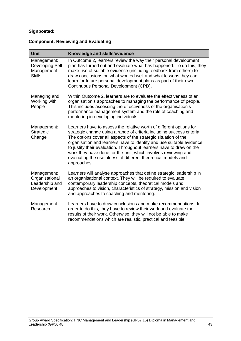## **Signposted:**

## **Component: Reviewing and Evaluating**

| <b>Unit</b>                                                    | Knowledge and skills/evidence                                                                                                                                                                                                                                                                                                                                                                                                                                                                                      |
|----------------------------------------------------------------|--------------------------------------------------------------------------------------------------------------------------------------------------------------------------------------------------------------------------------------------------------------------------------------------------------------------------------------------------------------------------------------------------------------------------------------------------------------------------------------------------------------------|
| Management:<br>Developing Self<br>Management<br><b>Skills</b>  | In Outcome 2, learners review the way their personal development<br>plan has turned out and evaluate what has happened. To do this, they<br>make use of suitable evidence (including feedback from others) to<br>draw conclusions on what worked well and what lessons they can<br>learn for future personal development plans as part of their own<br>Continuous Personal Development (CPD).                                                                                                                      |
| Managing and<br>Working with<br>People                         | Within Outcome 2, learners are to evaluate the effectiveness of an<br>organisation's approaches to managing the performance of people.<br>This includes assessing the effectiveness of the organisation's<br>performance management system and the role of coaching and<br>mentoring in developing individuals.                                                                                                                                                                                                    |
| Management:<br>Strategic<br>Change                             | Learners have to assess the relative worth of different options for<br>strategic change using a range of criteria including success criteria.<br>The options cover all aspects of the strategic situation of the<br>organisation and learners have to identify and use suitable evidence<br>to justify their evaluation. Throughout learners have to draw on the<br>work they have done for the unit, which involves reviewing and<br>evaluating the usefulness of different theoretical models and<br>approaches. |
| Management:<br>Organisational<br>Leadership and<br>Development | Learners will analyse approaches that define strategic leadership in<br>an organisational context. They will be required to evaluate<br>contemporary leadership concepts, theoretical models and<br>approaches to vision, characteristics of strategy, mission and vision<br>and approaches to coaching and mentoring.                                                                                                                                                                                             |
| Management<br>Research                                         | Learners have to draw conclusions and make recommendations. In<br>order to do this, they have to review their work and evaluate the<br>results of their work. Otherwise, they will not be able to make<br>recommendations which are realistic, practical and feasible.                                                                                                                                                                                                                                             |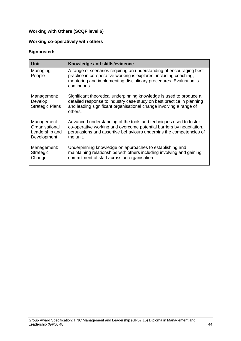## **Working with Others (SCQF level 6)**

## **Working co-operatively with others**

| <b>Unit</b>                                                    | Knowledge and skills/evidence                                                                                                                                                                                                 |
|----------------------------------------------------------------|-------------------------------------------------------------------------------------------------------------------------------------------------------------------------------------------------------------------------------|
| Managing<br>People                                             | A range of scenarios requiring an understanding of encouraging best<br>practice in co-operative working is explored, including coaching,<br>mentoring and implementing disciplinary procedures. Evaluation is<br>continuous.  |
| Management:<br>Develop<br><b>Strategic Plans</b>               | Significant theoretical underpinning knowledge is used to produce a<br>detailed response to industry case study on best practice in planning<br>and leading significant organisational change involving a range of<br>others. |
| Management:<br>Organisational<br>Leadership and<br>Development | Advanced understanding of the tools and techniques used to foster<br>co-operative working and overcome potential barriers by negotiation,<br>persuasions and assertive behaviours underpins the competencies of<br>the unit.  |
| Management:<br>Strategic<br>Change                             | Underpinning knowledge on approaches to establishing and<br>maintaining relationships with others including involving and gaining<br>commitment of staff across an organisation.                                              |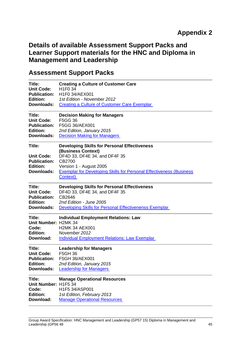# **Details of available Assessment Support Packs and Learner Support materials for the HNC and Diploma in Management and Leadership**

# **Assessment Support Packs**

| Title:                                                                       | <b>Creating a Culture of Customer Care</b>                                                                                                                                                                                                 |
|------------------------------------------------------------------------------|--------------------------------------------------------------------------------------------------------------------------------------------------------------------------------------------------------------------------------------------|
| <b>Unit Code:</b>                                                            | H <sub>1F0</sub> 34                                                                                                                                                                                                                        |
| <b>Publication:</b>                                                          | H1F0 34/AEX001                                                                                                                                                                                                                             |
| Edition:                                                                     | 1st Edition - November 2012                                                                                                                                                                                                                |
| Downloads:                                                                   | <b>Creating a Culture of Customer Care Exemplar</b>                                                                                                                                                                                        |
| Title:                                                                       | <b>Decision Making for Managers</b>                                                                                                                                                                                                        |
| <b>Unit Code:</b>                                                            | <b>F5GG 36</b>                                                                                                                                                                                                                             |
| <b>Publication:</b>                                                          | F5GG 36/AEX001                                                                                                                                                                                                                             |
| <b>Edition:</b>                                                              | 2nd Edition, January 2015                                                                                                                                                                                                                  |
| Downloads:                                                                   | <b>Decision Making for Managers</b>                                                                                                                                                                                                        |
| Title:<br><b>Unit Code:</b><br><b>Publication:</b><br>Edition:<br>Downloads: | <b>Developing Skills for Personal Effectiveness</b><br>(Business Context)<br>DF4D 33, DF4E 34, and DF4F 35<br>CB2700<br>Version 1 - August 2005<br><b>Exemplar for Developing Skills for Personal Effectiveness (Business)</b><br>Context) |
| Title:                                                                       | <b>Developing Skills for Personal Effectiveness</b>                                                                                                                                                                                        |
| <b>Unit Code:</b>                                                            | DF4D 33, DF4E 34, and DF4F 35                                                                                                                                                                                                              |
| <b>Publication:</b>                                                          | CB2646                                                                                                                                                                                                                                     |
| <b>Edition:</b>                                                              | 2nd Edition - June 2005                                                                                                                                                                                                                    |
| Downloads:                                                                   | Developing Skills for Personal Effectivenenss Exemplar                                                                                                                                                                                     |
| Title:<br>Unit Number: H2MK 34<br>Code:<br><b>Edition:</b><br>Download:      | <b>Individual Employment Relations: Law</b><br><b>H2MK 34 AEX001</b><br>November 2012<br><b>Individual Employment Relations: Law Exemplar</b>                                                                                              |
| Title:                                                                       | <b>Leadership for Managers</b>                                                                                                                                                                                                             |
| <b>Unit Code:</b>                                                            | <b>F5GH 36</b>                                                                                                                                                                                                                             |
| <b>Publication:</b>                                                          | F5GH 36/AEX001                                                                                                                                                                                                                             |
| <b>Edition:</b>                                                              | 2nd Edition, January 2015                                                                                                                                                                                                                  |
| Downloads:                                                                   | <b>Leadership for Managers</b>                                                                                                                                                                                                             |
| Title:<br>Unit Number: H1F5 34<br>Code:<br><b>Edition:</b><br>Download:      | <b>Manage Operational Resources</b><br>H1F5 34/ASP001<br>1st Edition, February 2013<br><b>Manage Operational Resources</b>                                                                                                                 |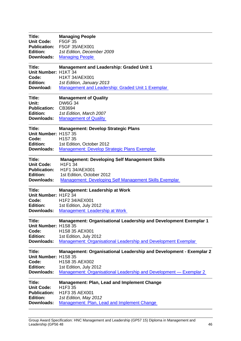| Title:<br><b>Unit Code:</b><br><b>Publication:</b><br><b>Edition:</b><br><b>Downloads:</b> | <b>Managing People</b><br><b>F5GF 35</b><br>F5GF 35/AEX001<br>1st Edition, December 2009<br><b>Managing People</b>                                                                          |
|--------------------------------------------------------------------------------------------|---------------------------------------------------------------------------------------------------------------------------------------------------------------------------------------------|
| Title:<br>Unit Number: H1KT 34<br>Code:<br><b>Edition:</b><br>Download:                    | <b>Management and Leadership: Graded Unit 1</b><br><b>H1KT 34/AEX001</b><br>1st Edition, January 2013<br>Management and Leadership: Graded Unit 1 Exemplar                                  |
| Title:<br>Unit:<br><b>Publication:</b><br><b>Edition:</b><br>Downloads:                    | <b>Management of Quality</b><br><b>DW6G 34</b><br>CB3694<br>1st Edition, March 2007<br><b>Management of Quality</b>                                                                         |
| Title:<br>Unit Number: H1S7 35<br>Code:<br><b>Edition:</b><br>Downloads:                   | <b>Management: Develop Strategic Plans</b><br>H <sub>1</sub> S7 35<br>1st Edition, October 2012<br><b>Management: Develop Strategic Plans Exemplar</b>                                      |
| Title:<br><b>Unit Code:</b><br><b>Publication:</b><br><b>Edition:</b><br>Downloads:        | <b>Management: Developing Self Management Skills</b><br>H1F1 34<br>H1F1 34/AEX001<br>1st Edition, October 2012<br><b>Management: Developing Self Management Skills Exemplar</b>             |
| Title:<br>Unit Number: H1F2 34<br>Code:<br><b>Edition:</b><br>Downloads:                   | <b>Management: Leadership at Work</b><br>H1F2 34/AEX001<br>1st Edition, July 2012<br><b>Management: Leadership at Work</b>                                                                  |
| Title:<br>Unit Number: H1S8 35<br>Code:<br><b>Edition:</b><br>Downloads:                   | <b>Management: Organisational Leadership and Development Exemplar 1</b><br>H1S8 35 AEX001<br>1st Edition, July 2012<br>Management: Organisational Leadership and Development Exemplar       |
| Title:<br>Unit Number: H1S8 35<br>Code:<br><b>Edition:</b><br>Downloads:                   | <b>Management: Organisational Leadership and Development - Exemplar 2</b><br>H1S8 35 AEX002<br>1st Edition, July 2012<br>Management: Organisational Leadership and Development - Exemplar 2 |
| Title:<br><b>Unit Code:</b><br><b>Publication:</b><br><b>Edition:</b><br>Downloads:        | <b>Management: Plan, Lead and Implement Change</b><br>H1F3 35<br>H1F3 35 AEX001<br>1st Edition, May 2012<br>Management: Plan, Lead and Implement Change                                     |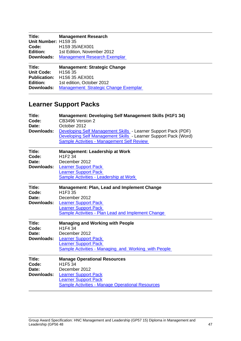| Title:               | <b>Management Research</b>                                              |
|----------------------|-------------------------------------------------------------------------|
| Unit Number: H1S9 35 |                                                                         |
| Code:                | H <sub>1</sub> S9 35/AEX001                                             |
| <b>Edition:</b>      | 1st Edition, November 2012                                              |
| Downloads:           | <b>Management Research Exemplar</b>                                     |
|                      |                                                                         |
| Title:               |                                                                         |
| <b>Unit Code:</b>    | <b>Management: Strategic Change</b><br>H <sub>1</sub> S <sub>6</sub> 35 |
| <b>Publication:</b>  | H1S6 35 AEX001                                                          |
| Edition:             | 1st edition, October 2012                                               |

# **Learner Support Packs**

| Title:<br>Code:<br>Date:<br>Downloads: | <b>Management: Developing Self Management Skills (H1F1 34)</b><br>CB3496 Version 2<br>October 2012<br>Developing Self Management Skills - Learner Support Pack (PDF)<br>Developing Self Management Skills - Learner Support Pack (Word)<br><b>Sample Activities - Management Self Review</b> |
|----------------------------------------|----------------------------------------------------------------------------------------------------------------------------------------------------------------------------------------------------------------------------------------------------------------------------------------------|
| Title:<br>Code:<br>Date:<br>Downloads: | <b>Management: Leadership at Work</b><br>H <sub>1F2</sub> 34<br>December 2012<br><b>Learner Support Pack</b><br><b>Learner Support Pack</b><br>Sample Activities - Leadership at Work                                                                                                        |
| Title:<br>Code:<br>Date:<br>Downloads: | <b>Management: Plan, Lead and Implement Change</b><br>H1F3 35<br>December 2012<br><b>Learner Support Pack</b><br><b>Learner Support Pack</b><br><b>Sample Activities - Plan Lead and Implement Change</b>                                                                                    |
| Title:<br>Code:<br>Date:<br>Downloads: | <b>Managing and Working with People</b><br>H <sub>1F4</sub> 34<br>December 2012<br><b>Learner Support Pack</b><br><b>Learner Support Pack</b><br>Sample Activities - Managing_and_Working_with People                                                                                        |
| Title:<br>Code:<br>Date:<br>Downloads: | <b>Manage Operational Resources</b><br>H1F5 34<br>December 2012<br><b>Learner Support Pack</b><br><b>Learner Support Pack</b><br><b>Sample Activities - Manage Operational Resources</b>                                                                                                     |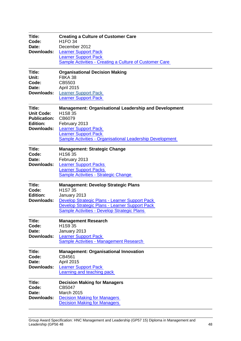| Title:<br>Code:<br>Date:<br>Downloads:                                              | <b>Creating a Culture of Customer Care</b><br><b>H1FO 34</b><br>December 2012<br><b>Learner Support Pack</b><br><b>Learner Support Pack</b><br><b>Sample Activities - Creating a Culture of Customer Care</b>                                |
|-------------------------------------------------------------------------------------|----------------------------------------------------------------------------------------------------------------------------------------------------------------------------------------------------------------------------------------------|
| Title:<br>Unit:<br>Code:<br>Date:<br>Downloads:                                     | <b>Organisational Decision Making</b><br><b>F8KA 38</b><br>CB5503<br><b>April 2015</b><br><b>Learner Support Pack</b><br><b>Learner Support Pack</b>                                                                                         |
| Title:<br><b>Unit Code:</b><br><b>Publication:</b><br><b>Edition:</b><br>Downloads: | <b>Management: Organisational Leadership and Development</b><br>H <sub>1</sub> S8 35<br>CB6079<br>February 2013<br><b>Learner Support Pack</b><br><b>Learner Support Pack</b><br>Sample Activities - Organisational Leadership Development   |
| Title:<br>Code:<br>Date:<br>Downloads:                                              | <b>Management: Strategic Change</b><br>H1S6 35<br>February 2013<br><b>Learner Support Packs</b><br><b>Learner Support Packs</b><br>Sample Activities - Strategic Change                                                                      |
| Title:<br>Code:<br><b>Edition:</b><br>Downloads:                                    | <b>Management: Develop Strategic Plans</b><br>H <sub>1</sub> S7 35<br>January 2013<br>Develop Strategic Plans - Learner Support Pack<br>Develop Strategic Plans - Learner Support Pack<br><b>Sample Activities - Develop Strategic Plans</b> |
| Title:<br>Code:<br>Date:<br>Downloads:                                              | <b>Management Research</b><br>H1S9 35<br>January 2013<br><b>Learner Support Pack</b><br>Sample Activities - Management Research                                                                                                              |
| Title:<br>Code:<br>Date:<br>Downloads:                                              | <b>Management: Organisational Innovation</b><br>CB4561<br>April 2015<br><b>Learner Support Pack</b><br><b>Learning and teaching pack</b>                                                                                                     |
| Title:<br>Code:<br>Date:<br>Downloads:                                              | <b>Decision Making for Managers</b><br>CB5047<br><b>March 2015</b><br><b>Decision Making for Managers</b><br><b>Decision Making for Managers</b>                                                                                             |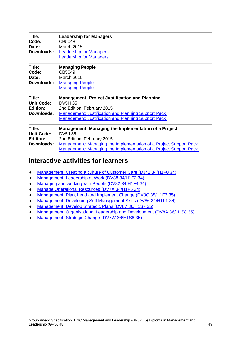| Title:<br>Code:<br>Date:<br>Downloads:                | <b>Leadership for Managers</b><br>CB5048<br><b>March 2015</b><br><b>Leadership for Managers</b><br><b>Leadership for Managers</b>                                                                                                       |
|-------------------------------------------------------|-----------------------------------------------------------------------------------------------------------------------------------------------------------------------------------------------------------------------------------------|
| Title:<br>Code:<br>Date:<br><b>Downloads:</b>         | <b>Managing People</b><br>CB5049<br><b>March 2015</b><br><b>Managing People</b><br><b>Managing People</b>                                                                                                                               |
| Title:<br><b>Unit Code:</b><br>Edition:<br>Downloads: | <b>Management: Project Justification and Planning</b><br><b>DV5H 35</b><br>2nd Edition, February 2015<br><b>Management: Justification and Planning Support Pack</b><br><b>Management: Justification and Planning Support Pack</b>       |
| Title:<br><b>Unit Code:</b><br>Edition:<br>Downloads: | Management: Managing the Implementation of a Project<br>DV5J 35<br>2nd Edition, February 2015<br>Management: Managing the Implementation of a Project Support Pack<br>Management: Managing the Implementation of a Project Support Pack |

# **Interactive activities for learners**

- [Management: Creating a culture of Customer Care \(DJ42 34/H1F0 34\)](https://www.sqa.org.uk/files/HNCmanagement/CustomerCareWEB/CustomerIntro.html)
- [Management: Leadership at Work \(DV88 34/H1F2 34\)](https://www.sqa.org.uk/files/HNCmanagement/LeadershipWEB/LeadershipIntro.html)
- [Managing and working with People \(DV82 34/H1F4 34\)](https://www.sqa.org.uk/files/HNCmanagement/ManagePeopleWEB/ManagePeopleIntro.html)
- [Manage Operational Resources \(DV7X 34/H1F5 34\)](https://www.sqa.org.uk/files/HNCmanagement/MORWEB/MORIntro.html)
- [Management: Plan, Lead and Implement Change \(DV8C 35/H1F3 35\)](https://www.sqa.org.uk/files/HNCmanagement/PlanLeadChangeWEB/PlanIntro.html)
- [Management: Developing Self Management Skills \(DV86 34/H1F1 34\)](https://www.sqa.org.uk/files/HNCmanagement/SelfDevelopmentWEB/SelfIntro.html)
- [Management: Develop Strategic Plans \(DV87 36/H1S7 35\)](https://www.sqa.org.uk/files/HNCmanagement/develop_strategic_plans/dsp_intro.html)
- [Management: Organisational Leadership and Development \(DV8A 36/H1S8 35\)](https://www.sqa.org.uk/files/HNCmanagement/Organisational_leadership_development/old_intro.html)
- [Management: Strategic Change \(DV7W 36/H1S6 35\)](https://www.sqa.org.uk/files/HNCmanagement/strategic_change/sc_intro.html)